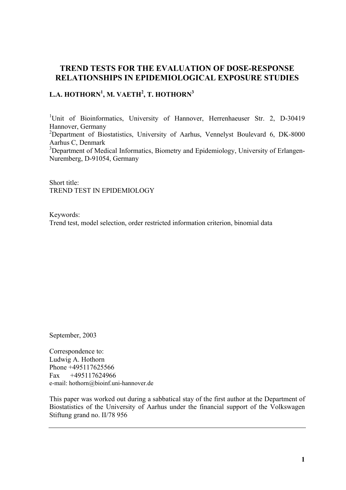# **TREND TESTS FOR THE EVALUATION OF DOSE-RESPONSE RELATIONSHIPS IN EPIDEMIOLOGICAL EXPOSURE STUDIES**

# $\mathbf{L.A.}\ \mathbf{HOTHORN}^{1},\ \mathbf{M.}\ \mathbf{VAETH}^{2},\ \mathbf{T.}\ \mathbf{HOTHORN}^{3}$

<sup>1</sup>Unit of Bioinformatics, University of Hannover, Herrenhaeuser Str. 2, D-30419 Hannover, Germany

<sup>2</sup>Department of Biostatistics, University of Aarhus, Vennelyst Boulevard 6, DK-8000 Aarhus C, Denmark

<sup>3</sup>Department of Medical Informatics, Biometry and Epidemiology, University of Erlangen-Nuremberg, D-91054, Germany

Short title: TREND TEST IN EPIDEMIOLOGY

Keywords: Trend test, model selection, order restricted information criterion, binomial data

September, 2003

Correspondence to: Ludwig A. Hothorn Phone +495117625566 Fax +495117624966 e-mail: [hothorn@bioinf.uni-hannover.de](mailto:hothorn@bioinf.uni-hannover.de)

This paper was worked out during a sabbatical stay of the first author at the Department of Biostatistics of the University of Aarhus under the financial support of the Volkswagen Stiftung grand no. II/78 956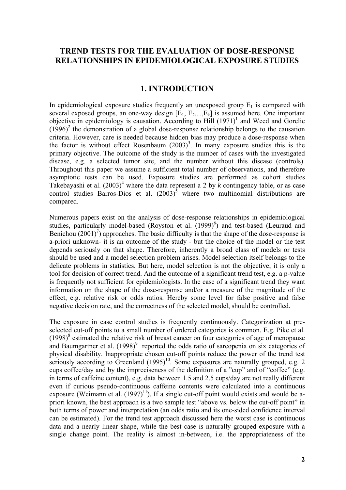# **TREND TESTS FOR THE EVALUATION OF DOSE-RESPONSE RELATIONSHIPS IN EPIDEMIOLOGICAL EXPOSURE STUDIES**

### **1. INTRODUCTION**

In epidemiological exposure studies frequently an unexposed group  $E_1$  is compared with several exposed groups, an one-way design  $[E_1, E_2, ..., E_k]$  is assumed here. One important objective in epidemiology is causation. According to Hill  $(1971)^1$  and Weed and Gorelic  $(1996)^2$  the demonstration of a global dose-response relationship belongs to the causation criteria. However, care is needed because hidden bias may produce a dose-response when the factor is without effect Rosenbaum  $(2003)^3$ . In many exposure studies this is the primary objective. The outcome of the study is the number of cases with the investigated disease, e.g. a selected tumor site, and the number without this disease (controls). Throughout this paper we assume a sufficient total number of observations, and therefore asymptotic tests can be used. Exposure studies are performed as cohort studies Takebayashi et al.  $(2003)^4$  where the data represent a 2 by k contingency table, or as case control studies Barros-Dios et al.  $(2003)^5$  where two multinomial distributions are compared.

Numerous papers exist on the analysis of dose-response relationships in epidemiological studies, particularly model-based (Royston et al. (1999)<sup>6</sup>) and test-based (Leuraud and Benichou  $(2001)^7$ ) approaches. The basic difficulty is that the shape of the dose-response is a-priori unknown- it is an outcome of the study - but the choice of the model or the test depends seriously on that shape. Therefore, inherently a broad class of models or tests should be used and a model selection problem arises. Model selection itself belongs to the delicate problems in statistics. But here, model selection is not the objective; it is only a tool for decision of correct trend. And the outcome of a significant trend test, e.g. a p-value is frequently not sufficient for epidemiologists. In the case of a significant trend they want information on the shape of the dose-response and/or a measure of the magnitude of the effect, e.g. relative risk or odds ratios. Hereby some level for false positive and false negative decision rate, and the correctness of the selected model, should be controlled.

The exposure in case control studies is frequently continuously. Categorization at preselected cut-off points to a small number of ordered categories is common. E.g. Pike et al.  $(1998)^8$  estimated the relative risk of breast cancer on four categories of age of menopause and Baumgartner et al.  $(1998)^9$  reported the odds ratio of sarcopenia on six categories of physical disability. Inappropriate chosen cut-off points reduce the power of the trend test seriously according to Greenland  $(1995)^{10}$ . Some exposures are naturally grouped, e.g. 2 cups coffee/day and by the impreciseness of the definition of a "cup" and of "coffee" (e.g. in terms of caffeine content), e.g. data between 1.5 and 2.5 cups/day are not really different even if curious pseudo-continuous caffeine contents were calculated into a continuous exposure (Weimann et al.  $(1997)^{11}$ ). If a single cut-off point would exists and would be apriori known, the best approach is a two sample test "above vs. below the cut-off point" in both terms of power and interpretation (an odds ratio and its one-sided confidence interval can be estimated). For the trend test approach discussed here the worst case is continuous data and a nearly linear shape, while the best case is naturally grouped exposure with a single change point. The reality is almost in-between, i.e. the appropriateness of the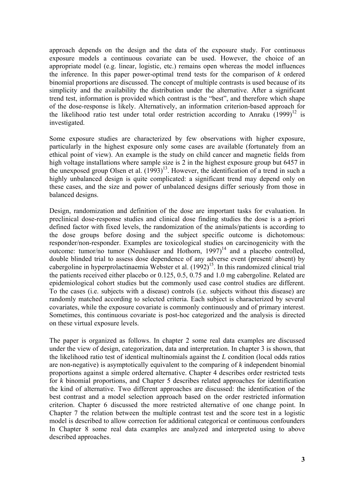approach depends on the design and the data of the exposure study. For continuous exposure models a continuous covariate can be used. However, the choice of an appropriate model (e.g. linear, logistic, etc.) remains open whereas the model influences the inference. In this paper power-optimal trend tests for the comparison of *k* ordered binomial proportions are discussed. The concept of multiple contrasts is used because of its simplicity and the availability the distribution under the alternative. After a significant trend test, information is provided which contrast is the "best", and therefore which shape of the dose-response is likely. Alternatively, an information criterion-based approach for the likelihood ratio test under total order restriction according to Anraku  $(1999)^{12}$  is investigated.

Some exposure studies are characterized by few observations with higher exposure, particularly in the highest exposure only some cases are available (fortunately from an ethical point of view). An example is the study on child cancer and magnetic fields from high voltage installations where sample size is 2 in the highest exposure group but 6457 in the unexposed group Olsen et al. (1993)<sup>13</sup>. However, the identification of a trend in such a highly unbalanced design is quite complicated: a significant trend may depend only on these cases, and the size and power of unbalanced designs differ seriously from those in balanced designs.

Design, randomization and definition of the dose are important tasks for evaluation. In preclinical dose-response studies and clinical dose finding studies the dose is a a-priori defined factor with fixed levels, the randomization of the animals/patients is according to the dose groups before dosing and the subject specific outcome is dichotomous: responder/non-responder. Examples are toxicological studies on carcinogenicity with the outcome: tumor/no tumor (Neuhäuser and Hothorn,  $1997$ )<sup>14</sup> and a placebo controlled, double blinded trial to assess dose dependence of any adverse event (present/ absent) by cabergoline in hyperprolactinaemia Webster et al.  $(1992)^{15}$ . In this randomized clinical trial the patients received either placebo or 0.125, 0.5, 0.75 and 1.0 mg cabergoline. Related are epidemiological cohort studies but the commonly used case control studies are different. To the cases (i.e. subjects with a disease) controls (i.e. subjects without this disease) are randomly matched according to selected criteria. Each subject is characterized by several covariates, while the exposure covariate is commonly continuously and of primary interest. Sometimes, this continuous covariate is post-hoc categorized and the analysis is directed on these virtual exposure levels.

The paper is organized as follows. In chapter 2 some real data examples are discussed under the view of design, categorization, data and interpretation. In chapter 3 is shown, that the likelihood ratio test of identical multinomials against the *L* condition (local odds ratios are non-negative) is asymptotically equivalent to the comparing of *k* independent binomial proportions against a simple ordered alternative. Chapter 4 describes order restricted tests for *k* binomial proportions, and Chapter 5 describes related approaches for identification the kind of alternative. Two different approaches are discussed: the identification of the best contrast and a model selection approach based on the order restricted information criterion. Chapter 6 discussed the more restricted alternative of one change point. In Chapter 7 the relation between the multiple contrast test and the score test in a logistic model is described to allow correction for additional categorical or continuous confounders In Chapter 8 some real data examples are analyzed and interpreted using to above described approaches.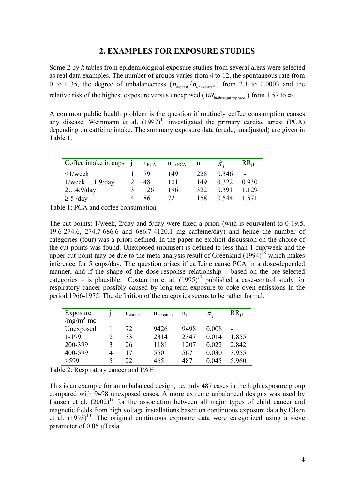#### **2. EXAMPLES FOR EXPOSURE STUDIES**

Some 2 by *k* tables from epidemiological exposure studies from several areas were selected as real data examples. The number of groups varies from 4 to 12, the spontaneous rate from 0 to 0.35, the degree of unbalanceness  $(n_{hichest}/n_{unexposed})$  from 2.1 to 0.0003 and the relative risk of the highest exposure versus unexposed ( $RR_{\text{hiehest.}un\text{ exposed}}$ ) from 1.57 to  $\infty$ .

A common public health problem is the question if routinely coffee consumption causes any disease. Weinmann et al.  $(1997)^{11}$  investigated the primary cardiac arrest  $(PCA)$ depending on caffeine intake. The summary exposure data (crude, unadjusted) are given in Table 1.

| Coffee intake in cups    | $n_{PCA}$ | $n_{no}$ PCA | $n_i$ | $\pi$ . | $RR_{i1}$ |
|--------------------------|-----------|--------------|-------|---------|-----------|
| $\langle 1/week \rangle$ | 79        | 149          | 228   | 0.346   |           |
| $1$ /week $1.9$ /day     | 48        | 101          | 149   | 0.322   | 0.930     |
| $24.9$ /day              | 126       | 196          | 322   | 0.391   | 1.129     |
| $\geq$ 5 /day            | 86        | 72           | 158   | 0.544   | 1 571     |

Table 1: PCA and coffee consumption

The cut-points: 1/week, 2/day and 5/day were fixed a-priori (with is equivalent to 0-19.5, 19.6-274.6, 274.7-686.6 and 686.7-4120.1 mg caffeine/day) and hence the number of categories (four) was a-priori defined. In the paper no explicit discussion on the choice of the cut-points was found. Unexposed (nonuser) is defined to less than 1 cup/week and the upper cut-point may be due to the meta-analysis result of Greenland  $(1994)^{16}$  which makes inference for 5 cups/day. The question arises if caffeine cause PCA in a dose-depended manner, and if the shape of the dose-response relationship – based on the pre-selected categories – is plausible. Costantino et al.  $(1995)^{17}$  published a case-control study for respiratory cancer possibly caused by long-term exposure to coke oven emissions in the period 1966-1975. The definition of the categories seems to be rather formal.

| Exposure     |         | $n_{\text{cancer}}$ | $n_{\text{no cancer}}$ | $n_i$ | $\pi$ ; | $RR_{i1}$ |
|--------------|---------|---------------------|------------------------|-------|---------|-----------|
| $/mg/m3$ -mo |         |                     |                        |       |         |           |
| Unexposed    |         | 72                  | 9426                   | 9498  | 0.008   |           |
| 1-199        |         | 33                  | 2314                   | 2347  | 0.014   | 1.855     |
| 200-399      | 3       | 26                  | 1181                   | 1207  | 0.022   | 2.842     |
| 400-599      | 4       | 17                  | 550                    | 567   | 0.030   | 3.955     |
| > 599        | $\zeta$ | 22                  | 465                    | 487   | 0.045   | 5 960     |

Table 2: Respiratory cancer and PAH

This is an example for an unbalanced design, i.e. only 487 cases in the high exposure group compared with 9498 unexposed cases. A more extreme unbalanced designs was used by Lausen et al.  $(2002)^{18}$  for the association between all major types of child cancer and magnetic fields from high voltage installations based on continuous exposure data by Olsen et al.  $(1993)^{13}$ . The original continuous exposure data were categorized using a sieve parameter of 0.05 μTesla.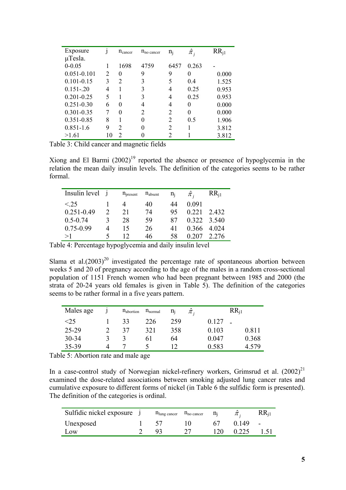| Exposure        |                             | $n_{\text{cancer}}$ | $n_{\text{no cancer}}$      | $n_i$ | $\hat{\pi}_i$ | $RR_{i1}$ |
|-----------------|-----------------------------|---------------------|-----------------------------|-------|---------------|-----------|
| $\mu$ Tesla.    |                             |                     |                             |       |               |           |
| $0 - 0.05$      |                             | 1698                | 4759                        | 6457  | 0.263         |           |
| $0.051 - 0.101$ | $\mathcal{D}_{\mathcal{L}}$ | $\theta$            | 9                           | 9     | $\theta$      | 0.000     |
| $0.101 - 0.15$  | 3                           | 2                   | 3                           | 5     | 0.4           | 1.525     |
| $0.151 - 20$    | 4                           |                     | 3                           | 4     | 0.25          | 0.953     |
| $0.201 - 0.25$  | 5                           |                     | 3                           | 4     | 0.25          | 0.953     |
| $0.251 - 0.30$  | 6                           | 0                   | 4                           | 4     | $\theta$      | 0.000     |
| $0.301 - 0.35$  |                             | 0                   | $\mathcal{D}_{\mathcal{A}}$ | 2     | 0             | 0.000     |
| 0.351-0.85      | 8                           |                     | $\theta$                    | 2     | 0.5           | 1.906     |
| $0.851 - 1.6$   | 9                           | 2                   | $\theta$                    | 2     |               | 3.812     |
| >1.61           | 10                          | 2                   |                             | 2     |               | 3.812     |

Table 3: Child cancer and magnetic fields

Xiong and El Barmi  $(2002)^{19}$  reported the absence or presence of hypoglycemia in the relation the mean daily insulin levels. The definition of the categories seems to be rather formal.

| Insulin level j |   | n <sub>present</sub> | $n_{\text{absent}}$ | $n_i$ | $\pi$ , | $RR_{i1}$   |
|-----------------|---|----------------------|---------------------|-------|---------|-------------|
| < 25            |   |                      | 40                  | 44    | 0 0 9 1 |             |
| $0.251 - 0.49$  |   | 21                   | 74                  | 95    | 0.221   | 2432        |
| $0.5 - 0.74$    |   | 28                   | 59                  | 87    |         | 0.322 3.540 |
| $0.75 - 0.99$   | Δ | 15                   | 26                  | 41    | 0.366   | 4 0 24      |
| >1              |   |                      | 46                  | 58    | 0 207   | 2.276       |

Table 4: Percentage hypoglycemia and daily insulin level

Slama et al. $(2003)^{20}$  investigated the percentage rate of spontaneous abortion between weeks 5 and 20 of pregnancy according to the age of the males in a random cross-sectional population of 1151 French women who had been pregnant between 1985 and 2000 (the strata of 20-24 years old females is given in Table 5). The definition of the categories seems to be rather formal in a five years pattern.

| Males age | $n_{\text{abortion}}$ | $n_{normal}$ | $n_i$<br>$\pi$ . | $RR_{11}$      |
|-----------|-----------------------|--------------|------------------|----------------|
| $<$ 25    | 33                    | 226          | 259              | 0.127          |
| $25 - 29$ | 37                    | 321          | 358              | 0.811<br>0.103 |
| $30 - 34$ |                       | 6 I          | 64               | 0.368<br>0.047 |
| 35-39     |                       |              |                  | 0.583<br>4.579 |

Table 5: Abortion rate and male age

In a case-control study of Norwegian nickel-refinery workers, Grimsrud et al.  $(2002)^{21}$ examined the dose-related associations between smoking adjusted lung cancer rates and cumulative exposure to different forms of nickel (in Table 6 the sulfidic form is presented). The definition of the categories is ordinal.

| Sulfidic nickel exposure | $n_{\text{lung cancer}}$ $n_{\text{no cancer}}$ | $n_i$ |       | $RR_{i1}$ |
|--------------------------|-------------------------------------------------|-------|-------|-----------|
| Unexposed                |                                                 |       | 0149  | $\sim$    |
| L <sub>ow</sub>          |                                                 | 120   | 0.225 | 1.51      |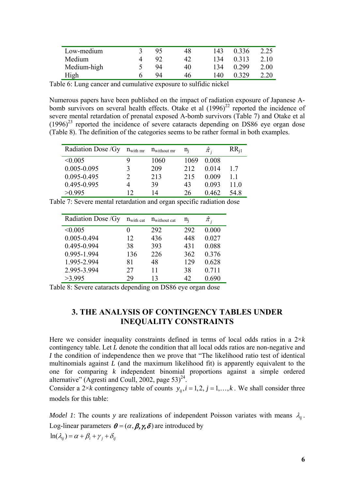| Low-medium  | 95 | 48 | 143 | 0.336 | 2.25 |
|-------------|----|----|-----|-------|------|
| Medium      | 92 | 42 | 134 | 0.313 | 2.10 |
| Medium-high | 94 | 40 | 134 | 0.299 | 2.00 |
| High        | 94 | 46 | 140 | 0.329 | 2.20 |

Table 6: Lung cancer and cumulative exposure to sulfidic nickel

Numerous papers have been published on the impact of radiation exposure of Japanese Abomb survivors on several health effects. Otake et al  $(1996)^{22}$  reported the incidence of severe mental retardation of prenatal exposed A-bomb survivors (Table 7) and Otake et al  $(1996)^{23}$  reported the incidence of severe cataracts depending on DS86 eye organ dose (Table 8). The definition of the categories seems to be rather formal in both examples.

| Radiation Dose / Gy | $n_{\text{with mr}}$ | $n_{without mr}$ | $n_i$ | $\pi$ . | $RR_{i1}$ |
|---------------------|----------------------|------------------|-------|---------|-----------|
| < 0.005             |                      | 1060             | 1069  | 0.008   |           |
| $0.005 - 0.095$     |                      | 209              | 212   | 0.014   | 17        |
| 0.095-0.495         | C                    | 213              | 215   | 0.009   |           |
| 0.495-0.995         |                      | 39               | 43    | 0.093   | 11 0      |
| >0.995              | 12                   | 14               | 26    | 0.462   | 54 8      |

Table 7: Severe mental retardation and organ specific radiation dose

| Radiation Dose / Gy | $n_{with}$ cat | $n_{without cat}$ | $n_i$ | $\hat{\pi}_{\scriptscriptstyle i}$ |
|---------------------|----------------|-------------------|-------|------------------------------------|
| < 0.005             | $_{0}$         | 292               | 292   | 0.000                              |
| 0.005-0.494         | 12             | 436               | 448   | 0.027                              |
| 0.495-0.994         | 38             | 393               | 431   | 0.088                              |
| 0.995-1.994         | 136            | 226               | 362   | 0.376                              |
| 1.995-2.994         | 81             | 48                | 129   | 0.628                              |
| 2.995-3.994         | 27             | 11                | 38    | 0.711                              |
| >3.995              | 29             | 13                | 42    | 0.690                              |

Table 8: Severe cataracts depending on DS86 eye organ dose

# **3. THE ANALYSIS OF CONTINGENCY TABLES UNDER INEQUALITY CONSTRAINTS**

Here we consider inequality constraints defined in terms of local odds ratios in a  $2\times k$ contingency table. Let *L* denote the condition that all local odds ratios are non-negative and *I* the condition of independence then we prove that "The likelihood ratio test of identical multinomials against *L* (and the maximum likelihood fit) is apparently equivalent to the one for comparing *k* independent binomial proportions against a simple ordered alternative" (Agresti and Coull, 2002, page 53)<sup>24</sup>.

Consider a 2×*k* contingency table of counts  $y_{ii}$ ,  $i = 1, 2, j = 1, ..., k$ . We shall consider three models for this table:

*Model 1*: The counts *y* are realizations of independent Poisson variates with means  $\lambda_{ii}$ . Log-linear parameters  $\theta = (\alpha, \beta, \gamma, \delta)$  are introduced by  $ln(\lambda_{ii}) = \alpha + \beta_i + \gamma_i + \delta_{ii}$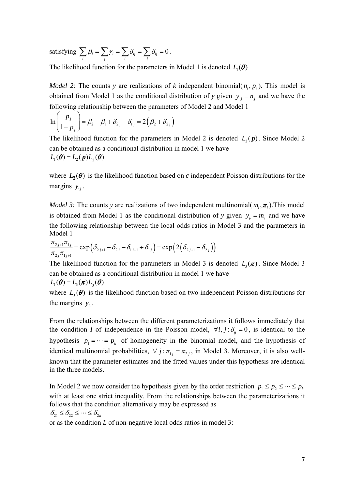satisfying  $\sum_i \beta_i = \sum_j \gamma_i = \sum_i \delta_{ij} = \sum_j \delta_{ij} = 0$ .

The likelihood function for the parameters in Model 1 is denoted  $L_1(\theta)$ 

*Model 2:* The counts *y* are realizations of *k* independent binomial( $n_i$ ,  $p_i$ ). This model is obtained from Model 1 as the conditional distribution of *y* given  $y_i = n_i$  and we have the following relationship between the parameters of Model 2 and Model 1

$$
\ln\left(\frac{p_j}{1-p_j}\right) = \beta_2 - \beta_1 + \delta_{2j} - \delta_{1j} = 2(\beta_2 + \delta_{2j})
$$

The likelihood function for the parameters in Model 2 is denoted  $L_2(p)$ . Since Model 2 can be obtained as a conditional distribution in model 1 we have  $L_1(\boldsymbol{\theta}) = L_2(\boldsymbol{p}) L_2(\boldsymbol{\theta})$ 

where  $L_5(\theta)$  is the likelihood function based on *c* independent Poisson distributions for the margins  $y_i$ .

*Model 3:* The counts *y* are realizations of two independent multinomial( $m_i$ ,  $\pi_i$ ). This model is obtained from Model 1 as the conditional distribution of *y* given  $y_i = m_i$  and we have the following relationship between the local odds ratios in Model 3 and the parameters in Model 1

$$
\frac{\pi_{2j+1}\pi_{1j}}{\pi_{2j}\pi_{1j+1}} = \exp\left(\delta_{2j+1} - \delta_{2j} - \delta_{1j+1} + \delta_{1j}\right) = \exp\left(2\left(\delta_{2j+1} - \delta_{2j}\right)\right)
$$

The likelihood function for the parameters in Model 3 is denoted  $L_1(\pi)$ . Since Model 3 can be obtained as a conditional distribution in model 1 we have

$$
L_1(\boldsymbol{\theta}) = L_3(\boldsymbol{\pi})L_{\overline{3}}(\boldsymbol{\theta})
$$

where  $L_{\bar{3}}(\theta)$  is the likelihood function based on two independent Poisson distributions for the margins  $y_i$ .

From the relationships between the different parameterizations it follows immediately that the condition *I* of independence in the Poisson model,  $\forall i, j : \delta_{ij} = 0$ , is identical to the hypothesis  $p_1 = \cdots = p_k$  of homogeneity in the binomial model, and the hypothesis of identical multinomial probabilities,  $\forall j : \pi_{1i} = \pi_{2i}$ , in Model 3. Moreover, it is also wellknown that the parameter estimates and the fitted values under this hypothesis are identical in the three models.

In Model 2 we now consider the hypothesis given by the order restriction  $p_1 \leq p_2 \leq \cdots \leq p_k$ with at least one strict inequality. From the relationships between the parameterizations it follows that the condition alternatively may be expressed as

 $\delta_{21} \leq \delta_{22} \leq \cdots \leq \delta_{2k}$ 

or as the condition *L* of non-negative local odds ratios in model 3: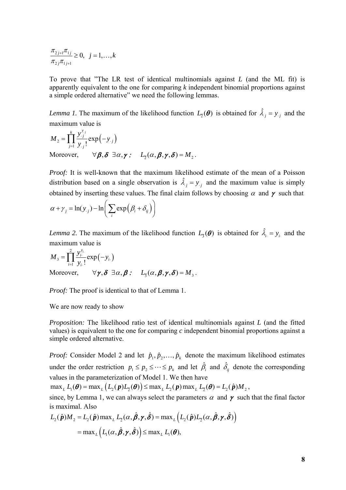$$
\frac{\pi_{2j+1}\pi_{1j}}{\pi_{2j}\pi_{1j+1}} \ge 0, \ \ j = 1, \dots, k
$$

To prove that "The LR test of identical multinomials against *L* (and the ML fit) is apparently equivalent to the one for comparing *k* independent binomial proportions against a simple ordered alternative" we need the following lemmas.

*Lemma 1*. The maximum of the likelihood function  $L_2(\theta)$  is obtained for  $\hat{\lambda}_j = y_{.j}$  and the maximum value is

$$
M_2 = \prod_{j=1}^k \frac{y_{.j}^{y_{.j}}}{y_{.j}!} \exp(-y_{.j})
$$
  
Moreover,  $\forall \beta, \delta \exists \alpha, \gamma : L_2(\alpha, \beta, \gamma, \delta) = M_2.$ 

*Proof:* It is well-known that the maximum likelihood estimate of the mean of a Poisson distribution based on a single observation is  $\hat{\lambda}_j = y_{,j}$  and the maximum value is simply obtained by inserting these values. The final claim follows by choosing  $\alpha$  and  $\gamma$  such that

$$
\alpha + \gamma_j = \ln(y_{\cdot j}) - \ln\left(\sum_i \exp\left(\beta_i + \delta_{ij}\right)\right)
$$

*Lemma 2.* The maximum of the likelihood function  $L_{\bar{3}}(\theta)$  is obtained for  $\hat{\lambda}_i = y_i$  and the maximum value is

$$
M_{3} = \prod_{i=1}^{2} \frac{y_{i}^{y_{i}}}{y_{i}!} \exp(-y_{i})
$$
  
Moreover,  $\forall \gamma, \delta \exists \alpha, \beta : L_{\overline{3}}(\alpha, \beta, \gamma, \delta) = M_{3}.$ 

*Proof:* The proof is identical to that of Lemma 1.

We are now ready to show

*Proposition:* The likelihood ratio test of identical multinomials against *L* (and the fitted values) is equivalent to the one for comparing *c* independent binomial proportions against a simple ordered alternative.

*Proof:* Consider Model 2 and let  $\hat{p}_1, \hat{p}_2, \dots, \hat{p}_k$  denote the maximum likelihood estimates under the order restriction  $p_1 \leq p_2 \leq \cdots \leq p_k$  and let  $\hat{\beta}_i$  and  $\hat{\delta}_{ij}$  denote the corresponding values in the parameterization of Model 1. We then have

 $\max_{L} L_1(\boldsymbol{\theta}) = \max_{L} (L_2(\boldsymbol{p})L_5(\boldsymbol{\theta})) \leq \max_{L} L_2(\boldsymbol{p}) \max_{L} L_5(\boldsymbol{\theta}) = L_2(\hat{\boldsymbol{p}})M_2$ ,

since, by Lemma 1, we can always select the parameters  $\alpha$  and  $\gamma$  such that the final factor is maximal. Also

$$
L_2(\hat{\boldsymbol{p}})M_2 = L_2(\hat{\boldsymbol{p}})\max_{L} L_2(\alpha, \hat{\boldsymbol{\beta}}, \gamma, \hat{\boldsymbol{\delta}}) = \max_{L} (L_2(\hat{\boldsymbol{p}})L_2(\alpha, \hat{\boldsymbol{\beta}}, \gamma, \hat{\boldsymbol{\delta}}))
$$
  
= max<sub>L</sub>  $(L_1(\alpha, \hat{\boldsymbol{\beta}}, \gamma, \hat{\boldsymbol{\delta}})) \le \max_{L} L_1(\boldsymbol{\theta}),$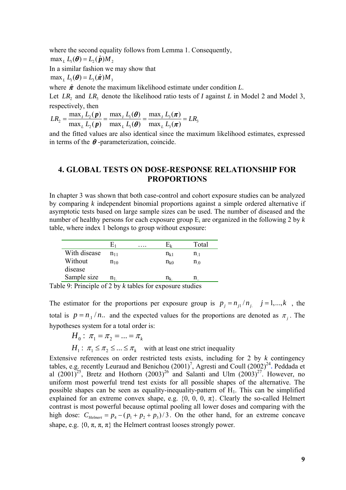where the second equality follows from Lemma 1. Consequently,

 $\max_{L} L_{1}(\boldsymbol{\theta}) = L_{2}(\hat{\boldsymbol{p}})M_{2}$ 

In a similar fashion we may show that

 $\max_{i} L_{i}(\boldsymbol{\theta}) = L_{i}(\hat{\boldsymbol{\pi}}) M_{i}$ 

where  $\hat{\pi}$  denote the maximum likelihood estimate under condition *L*.

Let  $LR_2$  and  $LR_3$  denote the likelihood ratio tests of *I* against *L* in Model 2 and Model 3, respectively, then

 $\frac{1}{2} = \frac{\max_{I} L_2(P)}{\max_{I} L_1(P)} = \frac{\max_{I} L_1(O)}{\max_{I} L_2(P)} = \frac{\max_{I} L_3(P)}{\max_{I} L_3(P)} = LR_3$  $\mathcal{L}_2(\boldsymbol{P})$  mas<sub>L</sub>  $L_1(\boldsymbol{V})$  mas<sub>L</sub>  $L_3$  $=\frac{\max_{I} L_{2}(p)}{\max_{L} L_{2}(p)} = \frac{\max_{I} L_{1}(\theta)}{\max_{L} L_{1}(\theta)} = \frac{\max_{I} L_{3}(\pi)}{\max_{L} L_{3}(\pi)}$  $LR_1 = \frac{\max_I L_2(\boldsymbol{p})}{\sum_I \sum_I \left(\boldsymbol{p}\right)} = \frac{\max_I L_1(\boldsymbol{\theta})}{\sum_I \sum_I \left(\boldsymbol{p}\right)} = \frac{L_1}{L_2}$  $L_2(p)$  max<sub>*L*</sub>  $L_1(\theta)$  max<sub>*L*</sub>  $L$ *p p*  $\theta$  max,  $L(\pi)$  $\theta$  max,  $L(\pi)$ 

and the fitted values are also identical since the maximum likelihood estimates, expressed in terms of the  $\theta$ -parameterization, coincide.

## **4. GLOBAL TESTS ON DOSE-RESPONSE RELATIONSHIP FOR PROPORTIONS**

In chapter 3 was shown that both case-control and cohort exposure studies can be analyzed by comparing *k* independent binomial proportions against a simple ordered alternative if asymptotic tests based on large sample sizes can be used. The number of diseased and the number of healthy persons for each exposure group Ei are organized in the following 2 by *k*  table, where index 1 belongs to group without exposure:

|                         |          | .                   |                  | Total          |
|-------------------------|----------|---------------------|------------------|----------------|
| With disease            | $n_{11}$ |                     | $n_{k1}$         | n <sub>1</sub> |
| Without                 | $n_{10}$ |                     | $n_{k0}$         | $n_0$          |
| disease                 |          |                     |                  |                |
| Sample size             | $n_1$    |                     | $\mathrm{n_{k}}$ | n              |
| $1 \cap n$ , $1 \cap n$ | 0.21     | $\sim$<br>- 7 - 1 1 |                  | $\cdot$ 1.     |

Table 9: Principle of 2 by *k* tables for exposure studies

The estimator for the proportions per exposure group is  $p_i = n_{i1}/n_i$ ,  $j = 1,..., k$ , the total is  $p = n_1 / n$ .. and the expected values for the proportions are denoted as  $\pi_j$ . The hypotheses system for a total order is:

$$
H_0: \pi_1 = \pi_2 = \dots = \pi_k
$$

 $H_1$ :  $\pi_1 \leq \pi_2 \leq ... \leq \pi_k$  with at least one strict inequality

Extensive references on order restricted tests exists, including for 2 by *k* contingency tables, e.g. recently Leuraud and Benichou  $(2001)^7$ , Agresti and Coull  $(2002)^{24}$ . Peddada et al  $(2001)^{25}$ , Bretz and Hothorn  $(2003)^{26}$  and Salanti and Ulm  $(2003)^{27}$ . However, no uniform most powerful trend test exists for all possible shapes of the alternative. The possible shapes can be seen as equality-inequality-pattern of  $H<sub>1</sub>$ . This can be simplified explained for an extreme convex shape, e.g.  $\{0, 0, 0, \pi\}$ . Clearly the so-called Helmert contrast is most powerful because optimal pooling all lower doses and comparing with the high dose:  $C_{He|mert} = p_4 - (p_1 + p_2 + p_3)/3$ . On the other hand, for an extreme concave shape, e.g.  $\{0, \pi, \pi, \pi\}$  the Helmert contrast looses strongly power.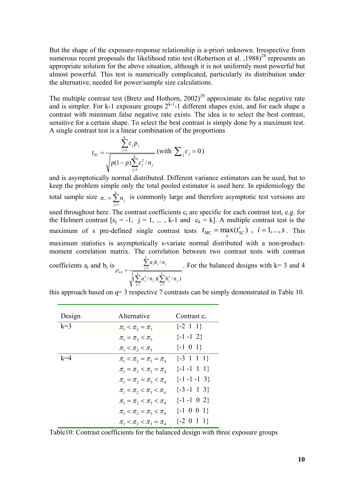But the shape of the exposure-response relationship is a-priori unknown. Irrespective from numerous recent proposals the likelihood ratio test (Robertson et al.  $1988$ )<sup>28</sup> represents an appropriate solution for the above situation, although it is not uniformly most powerful but almost powerful. This test is numerically complicated, particularly its distribution under the alternative, needed for power/sample size calculations.

The multiple contrast test (Bretz and Hothorn,  $2002$ )<sup>29</sup> approximate its false negative rate and is simpler. For k-1 exposure groups  $2^{k-1}$ -1 different shapes exist, and for each shape a contrast with minimum false negative rate exists. The idea is to select the best contrast, sensitive for a certain shape. To select the best contrast is simply done by a maximum test. A single contrast test is a linear combination of the proportions

$$
t_{sc} = \frac{\sum_{j=1}^{k} c_j p_j}{\sqrt{p(1-p)\sum_{j=1}^{k} c_j^2 / n_j}} \text{ (with } \sum_j c_j = 0 \text{)}
$$

and is asymptotically normal distributed. Different variance estimators can be used, but to keep the problem simple only the total pooled estimator is used here. In epidemiology the total sample size  $n_{\cdot} = \sum_{j=1}^{n} n_j$ .  $\ldots = \sum_{k=1}^{k}$  $\sum_{j=1}^{\prime\prime}$ <sup>'</sup> i  $n_{\cdot \cdot} = \sum n$  $=\sum_{j=1}^{n} n_j$  is commonly large and therefore asymptotic test versions are used throughout here. The contrast coefficients  $c_i$  are specific for each contrast test, e.g. for the Helmert contrast  $[c_i = -1, i = 1, ..., k-1$  and  $c_k = k$ . A multiple contrast test is the maximum of s pre-defined single contrast tests  $t_{MC} = \max_{s} (t_{SC}^i)$ ,  $i = 1,..., s$ . This maximum statistics is asymptotically s-variate normal distributed with a non-productmoment correlation matrix. The correlation between two contrast tests with contrast coefficients a<sub>j</sub> and b<sub>j</sub> is  $\rho_{a,b} = \frac{\sum_{j=1}^{\infty} a_j b_j / n_j}{\sqrt{(\sum_{j=1}^k a_j^2 / n_j)(\sum_{j=1}^k b_j^2 / n_j)}}$ /  $(\sum a_i^2/n_i)(\sum b_i^2/n_i)$ *k*  $g_{a,b} = \frac{\sum_{j=1}^{k} a_j b_j + n_j}{\sqrt{k}}$  $\sum_{j=1}^{\infty} a_j \wedge n_j$  *j*  $\sum_{j=1}^{\infty} b_j \wedge n_j$  $a_i b_i/n$  $a_i^2/n_i$ ) $(\sum b_i^2/n_i)$  $\rho_{ab} = \frac{1}{\sqrt{1-\frac{1}{2}}}$  $=$ 1  $j=$ = ∑  $\sum a_j^2/n_{j.}$ )( $\sum$ . For the balanced designs with  $k=3$  and 4

this approach based on q= 3 respective 7 contrasts can be simply demonstrated in Table 10.

| Design | Alternative                     | Contrast $c_i$          |
|--------|---------------------------------|-------------------------|
| $k=3$  | $\pi_1 < \pi_2 = \pi_3$         | $\{-2 \ 1 \ 1\}$        |
|        | $\pi_1 = \pi_2 < \pi_3$         | $\{-1 -1 2\}$           |
|        | $\pi_1 < \pi_2 < \pi_3$         | $\{-1 \ 0 \ 1\}$        |
| $k=4$  | $\pi_1 < \pi_2 = \pi_3 = \pi_4$ | $\{-3 \; 1 \; 1 \; 1\}$ |
|        | $\pi_1 = \pi_2 < \pi_3 = \pi_4$ | $\{-1 -1 \ 1 \ 1\}$     |
|        | $\pi_1 = \pi_2 = \pi_3 < \pi_4$ | $\{-1 -1 -1 3\}$        |
|        | $\pi_1 < \pi_2 < \pi_3 < \pi_4$ | $\{-3 - 1 \ 1 \ 3\}$    |
|        | $\pi_1 = \pi_2 < \pi_3 < \pi_4$ | $\{-1 -1 0 2\}$         |
|        | $\pi_1 < \pi_2 = \pi_3 < \pi_4$ | $\{-1 \ 0 \ 0 \ 1\}$    |
|        | $\pi_1 < \pi_2 < \pi_3 = \pi_4$ | $\{-2\ 0\ 1\ 1\}$       |

Table10: Contrast coefficients for the balanced design with three exposure groups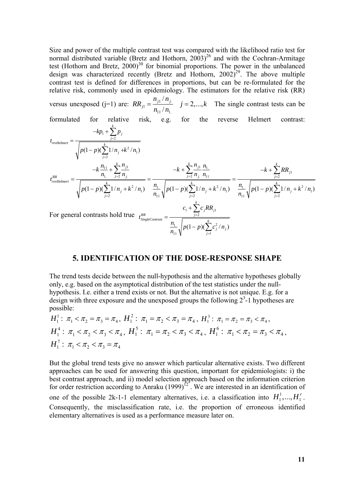Size and power of the multiple contrast test was compared with the likelihood ratio test for SIZE and power or the matriple contrast test was computed that the  $\text{Cochar-Arm}$  random normal distributed variable (Bretz and Hothorn, 2003)<sup>26</sup> and with the Cochran-Armitage test (Hothorn and Bretz, 2000)<sup>30</sup> for binomial proportions. The power in the unbalanced design was characterized recently (Bretz and Hothorn,  $2002)^{29}$ . The above multiple contrast test is defined for differences in proportions, but can be re-formulated for the relative risk, commonly used in epidemiology. The estimators for the relative risk (RR)

versus unexposed (j=1) are:  $RR_{i1} = \frac{n_{i1} + n_{i2}}{n_{i1}}$  $11'$   $\cdot$   $\cdot$   $1.$ /  $j_1^{j_1/n}j_1^{j_1}$   $j=2,...,$ *j*  $n_{\rm i1}/n$  $RR_{j1} = \frac{n_{j1}n_{j2}}{n_{11}/n_1}$   $j = 2,...,k$  The single contrast tests can be formulated for relative risk, e.g. for the reverse Helmert contrast:  $1 + \sum_{j=2}$  $\sum_{i=1}^{n}$  /n<sub>1</sub>  $(1-p)(\sum 1/n_i + k^2/n_i)$ *k*  $f_{revHelmert} = \frac{-\kappa p_1 + \sum_{j=2}^{n} p_j}{k}$  $\sum_{j=2}$ <sup>1/*n*</sup><sub>j</sub>  $kp_1 + \sum p$ *t*  $p(1-p)(\sum 1/n_i+k^2/n)$ = =  $-kp_1 +$ =  $-p)(\sum 1/n_i +$ ∑ ∑  $\frac{1}{n_1} + \sum_{j=2}^{\infty} \frac{n_{j1}}{n_j}$   $-k + \sum_{j=2}^{\infty} \frac{n_{j1}}{n_j} \frac{n_{1j}}{n_{11}}$   $-k + \sum_{j=2}^{\infty} RR_{j1}$  $\sum_{j=2}^{n}1/n_j + k^2/n_1$   $\qquad \frac{n_1}{n_{11}}\sqrt{p(1-p)(\sum_{j=2}^{n}1/n_j + k^2/n_1)}$   $\qquad \frac{n_1}{n_{11}}\sqrt{p(1-p)(\sum_{j=2}^{n}1/n_j + k^2/n_1)}$  $(1-p)(\sum 1/n_i + k^2/n_i)$   $\stackrel{n_1}{\longrightarrow}$   $\big|p(1-p)(\sum 1/n_i + k^2/n_i)$   $\stackrel{n_1}{\longrightarrow}$   $\big|p(1-p)(\sum 1/n_i + k^2/n_i)\big|$  $\sum_{k=1}^{k} n_{j1} n_{j2}$  *k*  $\sum_{k=1}^{k} n_{j1} n_{j2} n_{j3}$  *k*  $\sum_{k=1}^{k} n_{j1} n_{j3} n_{j3}$ *j RR j j jj j revHelmert*  $\begin{array}{|c|c|c|c|c|c|}\hline \hline \multicolumn{1}{c|}{k} & \multicolumn{1}{c|}{k} & \multicolumn{1}{c|}{k} & \multicolumn{1}{c|}{k} & \multicolumn{1}{c|}{k} & \multicolumn{1}{c|}{k} & \multicolumn{1}{c|}{k} & \multicolumn{1}{c|}{k} & \multicolumn{1}{c|}{k} & \multicolumn{1}{c|}{k} & \multicolumn{1}{c|}{k} & \multicolumn{1}{c|}{k} & \multicolumn{1}{c|}{k} & \multicolumn{1}{c|}{k} & \$  $\sum_{j=2}^{n_1} p_j + k_2 + n_1 j$   $\sum_{n_1} \sqrt{P(1-P)} \sum_{j=2}^{n_1} p_j + k_2 + n_1 j$   $\sum_{n_1} \sqrt{P(1-P)} \sum_{j=2}^{n_1} p_j$  $k \frac{n_{11}}{n_1} + \sum_{i=2}^{k} \frac{n_{i1}}{n_i}$   $-k + \sum_{i=2}^{k} \frac{n_{i1}}{n_i} \frac{n_{11}}{n_{11}}$   $-k + \sum_{i=2}^{k} RR$ *t*  $p(1-p)(\sum_{i=1}^{k} (1/n_i + k^2/n_i)) = \frac{n_1}{p} \left( p(1-p)(\sum_{i=1}^{k} (1/n_i + k^2/n_i)) - \frac{n_1}{p} \right) p(1-p)(\sum_{i=1}^{k} (1/n_i + k^2/n_i))$  $n_{11}$   $\sqrt{r^2-r^2}$   $\sum_{i=2}^{r^2-n_j}$   $\cdots$   $\sum_{i=1}^{r} n_i$  $= 2 \; \mu_{j} \; \mu_{11}$   $= 2 \; \mu_{j} \; \mu_{11}$   $= 2 \; \mu_{12} \; \mu_{21} \; \mu_{22} \; \mu_{13}$  $n_{11} \vee$   $j=2$   $n_{11} \vee$   $j=2$   $n_{11} \vee$   $j=$  $-k + \sum_{i=1}^{n_1}$   $-k + \sum_{i=1}^{n_2}$   $\frac{n_1}{k_1}$   $-k + \sum_{i=1}^{n_3}$  $= \frac{r_1}{1-r_2} \frac{r_2}{r_1} \frac{r_2}{r_2} = \frac{r_1}{1-r_1} \frac{r_1}{r_1} \frac{r_1}{r_1} \frac{r_1}{r_1} \frac{r_1}{r_1} \frac{r_1}{r_1} \frac{r_1}{r_1} \frac{r_1}{r_1} \frac{r_1}{r_1} \frac{r_1}{r_1} \frac{r_1}{r_1} \frac{r_1}{r_1} \frac{r_1}{r_1} \frac{r_1}{r_1} \frac{r_1}{r_1} \frac{r_1}{r_1}$  $-(- p)(\sum 1/n_i + k^2/n_i)$   $\frac{n_1}{n_1}$   $\left| p(1-p)(\sum 1/n_i + k^2/n_i) - \frac{n_1}{n_1} \right| p(1-p)(\sum 1/n_i + k^2/n_i)$  $\sum_{n=1}^{\infty} \frac{n_{j1}}{n}$   $-k + \sum_{n=1}^{\infty} \frac{n_{j1}}{n}$   $-k + \sum_{n=1}^{\infty}$  $\sum 1/n_j + k^2/n_1$   $\frac{n_1}{n_1}$   $\sqrt{p(1-p)(\sum 1/n_j + k^2/n_1)}$   $\frac{n_1}{n_1}$   $\sqrt{p(1-p)(\sum 1/n_j + k^2/n_1)}$ For general contrasts hold true  $t_{SingleContrast}^{RR} = \frac{c_1 + \sum_{j=2}^{n} c_j \kappa \kappa_{j1}}{k}$ *k*  $c_1 + \sum c_j RR_j$ 

$$
n_{ast} = \frac{1}{n_{11}} \sqrt{\frac{p(1-p)(\sum_{j=1}^{k} c_j^2/n_j)}{p(1-p)(\sum_{j=1}^{k} c_j^2/n_j)}}
$$

#### **5. IDENTIFICATION OF THE DOSE-RESPONSE SHAPE**

The trend tests decide between the null-hypothesis and the alternative hypotheses globally only, e.g. based on the asymptotical distribution of the test statistics under the nullhypothesis. I.e. either a trend exists or not. But the alternative is not unique. E.g. for a design with three exposure and the unexposed groups the following  $2<sup>3</sup>$ -1 hypotheses are possible:

$$
H_1^1: \pi_1 < \pi_2 = \pi_3 = \pi_4, \ H_1^2: \ \pi_1 = \pi_2 < \pi_3 = \pi_4, \ H_1^3: \ \pi_1 = \pi_2 = \pi_3 < \pi_4,
$$
\n
$$
H_1^4: \ \pi_1 < \pi_2 < \pi_3 < \pi_4, \ H_1^5: \ \pi_1 = \pi_2 < \pi_3 < \pi_4, \ H_1^6: \ \pi_1 < \pi_2 = \pi_3 < \pi_4,
$$
\n
$$
H_1^7: \ \pi_1 < \pi_2 < \pi_3 = \pi_4
$$

But the global trend tests give no answer which particular alternative exists. Two different approaches can be used for answering this question, important for epidemiologists: i) the best contrast approach, and ii) model selection approach based on the information criterion for order restriction according to Anraku (1999)<sup>12</sup>. We are interested in an identification of one of the possible 2k-1-1 elementary alternatives, i.e. a classification into  $H_1^1, ..., H_1^r$ . Consequently, the misclassification rate, i.e. the proportion of erroneous identified elementary alternatives is used as a performance measure later on.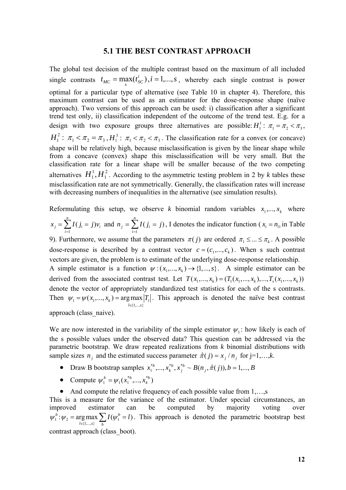#### **5.1 THE BEST CONTRAST APPROACH**

The global test decision of the multiple contrast based on the maximum of all included single contrasts  $t_{MC} = \max_s(t_{SC}^i), i = 1,...,s$ , whereby each single contrast is power optimal for a particular type of alternative (see Table 10 in chapter 4). Therefore, this maximum contrast can be used as an estimator for the dose-response shape (naïve approach). Two versions of this approach can be used: i) classification after a significant trend test only, ii) classification independent of the outcome of the trend test. E.g. for a design with two exposure groups three alternatives are possible:  $H_1^1$ :  $\pi_1 = \pi_2 < \pi_3$ ,  $H_1^2$ :  $\pi_1 < \pi_2 = \pi_3$ ,  $H_1^3$ :  $\pi_1 < \pi_2 < \pi_3$ . The classification rate for a convex (or concave) shape will be relatively high, because misclassification is given by the linear shape while from a concave (convex) shape this misclassification will be very small. But the classification rate for a linear shape will be smaller because of the two competing alternatives  $H_1^1, H_1^2$  $H_1^1, H_1^2$ . According to the asymmetric testing problem in 2 by k tables these misclassification rate are not symmetrically. Generally, the classification rates will increase with decreasing numbers of inequalities in the alternative (see simulation results).

Reformulating this setup, we observe *k* binomial random variables  $x_1, \ldots, x_k$  where 1  $(j_i = j)$ *n*  $j = \sum_i (J_i - J)V_i$ *i*  $x_i = \sum I(j_i = j)v_i$  $=\sum_{i=1} I(j_i = j)v_i$  and  $n_j = \sum_{i=1} I(j_i =$ *n i*  $n_j = \sum I(j_i = j)$ 1  $(j_i = j)$ , I denotes the indicator function ( $x_i = n_{i1}$  in Table 9). Furthermore, we assume that the parameters  $\pi(j)$  are ordered  $\pi_1 \leq ... \leq \pi_k$ . A possible

dose-response is described by a contrast vector  $c = (c_1, ..., c_k)$ . When s such contrast vectors are given, the problem is to estimate of the underlying dose-response relationship.

A simple estimator is a function  $\psi$  :  $(x_1, ..., x_k) \rightarrow \{1, ..., s\}$ . A simple estimator can be derived from the associated contrast test. Let  $T(x_1, ..., x_k) = (T_1(x_1, ..., x_k), ..., T_s(x_1, ..., x_k))$ denote the vector of appropriately standardized test statistics for each of the s contrasts. Then  $\psi_1 = \psi(x_1)$  $\{\{1,\ldots,s\}\}$  $(x_1, ..., x_k) = \arg \max |T_i|$  $l \in \{1,...,s\}$  $\psi_1 = \psi(x_1, ..., x_k) = \arg \max |T|$ ∈  $=\psi(x_1,...,x_k)$  = argmax  $|T_i|$ . This approach is denoted the naïve best contrast

approach (class\_naive).

We are now interested in the variability of the simple estimator  $\psi_1$ : how likely is each of the s possible values under the observed data? This question can be addressed via the parametric bootstrap. We draw repeated realizations from *k* binomial distributions with sample sizes  $n_i$  and the estimated success parameter  $\hat{\pi}(j) = x_i/n_i$  for j=1,…,*k*.

- Draw B bootstrap samples  $x_1^{*b},...,x_k^{*b},x_j^{*b} \sim B(n_j,\hat{\pi}(j)), b = 1,...,B$ *b k*  $\hat{X}_1^{*b}, \ldots, X_k^{*b}, X_j^{*b} \sim B(n_j, \hat{\pi}(j)), b = 1, \ldots,$
- Compute  $\psi_1^b = \psi_1(x_1^{*b},...,x_k^{*b})$ *b*  $\psi_1^b = \psi_1(x_1^{b},...,x_k^{b})$
- And compute the relative frequency of each possible value from 1,...,s

This is a measure for the variance of the estimator. Under special circumstances, an improved estimator can be computed by majority voting over  $\psi_1^b : \psi_2 = \arg \max_{l \in \{1, \dots, s\}} \sum_h I(\psi_1^l)$ arg max  $\sum I(\psi_1^b = l)$  $l \in \{1,...,s\}$  *b*  $\psi_2$  = arg max  $\sum I(\psi_1^b = l)$ =  $\arg \max_{l \in \{1,\ldots,s\}} \sum_{h} I(\psi_l^b = l)$ . This approach is denoted the parametric bootstrap best

contrast approach (class\_boot).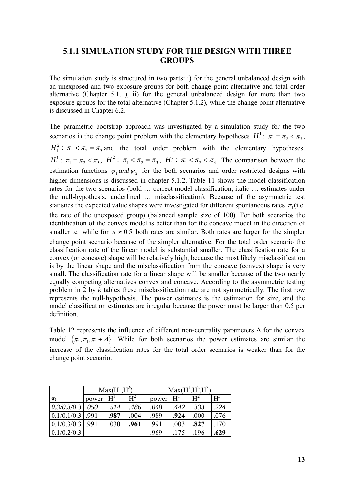# **5.1.1 SIMULATION STUDY FOR THE DESIGN WITH THREE GROUPS**

The simulation study is structured in two parts: i) for the general unbalanced design with an unexposed and two exposure groups for both change point alternative and total order alternative (Chapter 5.1.1), ii) for the general unbalanced design for more than two exposure groups for the total alternative (Chapter 5.1.2), while the change point alternative is discussed in Chapter 6.2.

The parametric bootstrap approach was investigated by a simulation study for the two scenarios i) the change point problem with the elementary hypotheses  $H_1^1$ :  $\pi_1 = \pi_2 < \pi_3$ ,  $H_1^2$ :  $\pi_1 < \pi_2 = \pi_3$  and the total order problem with the elementary hypotheses.  $H_1^1$ :  $\pi_1 = \pi_2 < \pi_3$ ,  $H_1^2$ :  $\pi_1 < \pi_2 = \pi_3$ ,  $H_1^3$ :  $\pi_1 < \pi_2 < \pi_3$ . The comparison between the estimation functions  $\psi_1$  *and*  $\psi_2$  for the both scenarios and order restricted designs with higher dimensions is discussed in chapter 5.1.2. Table 11 shows the model classification rates for the two scenarios (bold … correct model classification, italic … estimates under the null-hypothesis, underlined … misclassification). Because of the asymmetric test statistics the expected value shapes were investigated for different spontaneous rates  $\pi_1$  (i.e. the rate of the unexposed group) (balanced sample size of 100). For both scenarios the identification of the convex model is better than for the concave model in the direction of smaller  $\pi_1$  while for  $\bar{\pi} \approx 0.5$  both rates are similar. Both rates are larger for the simpler change point scenario because of the simpler alternative. For the total order scenario the classification rate of the linear model is substantial smaller. The classification rate for a convex (or concave) shape will be relatively high, because the most likely misclassification is by the linear shape and the misclassification from the concave (convex) shape is very small. The classification rate for a linear shape will be smaller because of the two nearly equally competing alternatives convex and concave. According to the asymmetric testing problem in 2 by *k* tables these misclassification rate are not symmetrically. The first row represents the null-hypothesis. The power estimates is the estimation for size, and the model classification estimates are irregular because the power must be larger than 0.5 per definition.

Table 12 represents the influence of different non-centrality parameters  $\Delta$  for the convex model  $\{\pi_1, \pi_1, \pi_1 + \Delta\}$ . While for both scenarios the power estimates are similar the increase of the classification rates for the total order scenarios is weaker than for the change point scenario.

|                                 | $Max(H^1, H^2)$ |       |       | $Max(H^1, H^2, H^3)$ |       |       |       |
|---------------------------------|-----------------|-------|-------|----------------------|-------|-------|-------|
| $\pi_{\mathsf{i}}$              | power           | $H^1$ | $H^2$ | power                | $H^1$ | $H^2$ | $H^3$ |
| $\left[0.3/0.3/0.3\right]$ .050 |                 | .514  | .486  | .048                 | .442  | .333  | .224  |
| 0.1/0.1/0.3                     | .991            | .987  | .004  | .989                 | .924  | .000  | .076  |
| 0.1/0.3/0.3                     | .991            | .030  | .961  | .991                 | .003  | .827  | .170  |
| 0.1/0.2/0.3                     |                 |       |       | .969                 | .175  | .196  | .629  |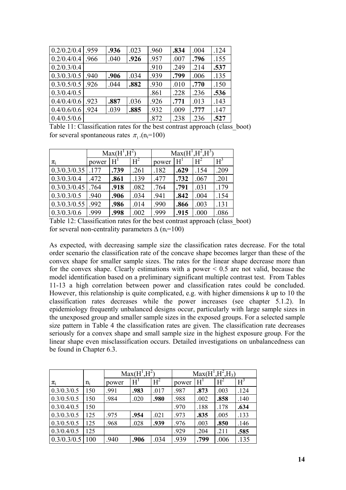| 0.2/0.2/0.4 | .959 | .936 | .023 | .960 | .834 | .004 | .124 |
|-------------|------|------|------|------|------|------|------|
| 0.2/0.4/0.4 | .966 | .040 | .926 | .957 | .007 | .796 | .155 |
| 0.2/0.3/0.4 |      |      |      | .910 | .249 | .214 | .537 |
| 0.3/0.3/0.5 | .940 | .906 | .034 | .939 | .799 | .006 | .135 |
| 0.3/0.5/0.5 | .926 | .044 | .882 | .930 | .010 | .770 | .150 |
| 0.3/0.4/0.5 |      |      |      | .861 | .228 | .236 | .536 |
| 0.4/0.4/0.6 | .923 | .887 | .036 | .926 | .771 | .013 | .143 |
| 0.4/0.6/0.6 | .924 | .039 | .885 | .932 | .009 | .777 | .147 |
| 0.4/0.5/0.6 |      |      |      | .872 | .238 | .236 | .527 |

Table 11: Classification rates for the best contrast approach (class\_boot) for several spontaneous rates  $\pi_1$  (n<sub>i</sub>=100)

|                     | $Max(H^1, H^2)$ |                |       | $Max(H^1,H^2,H^3)$ |       |       |       |  |
|---------------------|-----------------|----------------|-------|--------------------|-------|-------|-------|--|
| $\pi_i$             | power           | H <sup>1</sup> | $H^2$ | power              | $H^1$ | $H^2$ | $H^3$ |  |
| $0.3/0.3/0.35$ .177 |                 | .739           | .261  | .182               | .629  | .154  | .209  |  |
| 0.3/0.3/0.4         | .472            | .861           | .139  | .477               | .732  | .067  | .201  |  |
| 0.3/0.3/0.45        | .764            | .918           | .082  | .764               | .791  | .031  | .179  |  |
| 0.3/0.3/0.5         | .940            | .906           | .034  | .941               | .842  | .004  | .154  |  |
| 0.3/0.3/0.55        | .992            | .986           | .014  | .990               | .866  | .003  | .131  |  |
| 0.3/0.3/0.6         | .999            | .998           | .002  | .999               | .915  | .000  | .086  |  |

Table 12: Classification rates for the best contrast approach (class\_boot) for several non-centrality parameters  $\Delta$  (n<sub>i</sub>=100)

As expected, with decreasing sample size the classification rates decrease. For the total order scenario the classification rate of the concave shape becomes larger than these of the convex shape for smaller sample sizes. The rates for the linear shape decrease more than for the convex shape. Clearly estimations with a power  $\leq 0.5$  are not valid, because the model identification based on a preliminary significant multiple contrast test. From Tables 11-13 a high correlation between power and classification rates could be concluded. However, this relationship is quite complicated, e.g. with higher dimensions *k* up to 10 the classification rates decreases while the power increases (see chapter 5.1.2). In epidemiology frequently unbalanced designs occur, particularly with large sample sizes in the unexposed group and smaller sample sizes in the exposed groups. For a selected sample size pattern in Table 4 the classification rates are given. The classification rate decreases seriously for a convex shape and small sample size in the highest exposure group. For the linear shape even misclassification occurs. Detailed investigations on unbalancedness can be found in Chapter 6.3.

|             |       | $Max(H^1, H^2)$ |       |       | $Max(H^1, H^2, H_3)$ |      |       |       |
|-------------|-------|-----------------|-------|-------|----------------------|------|-------|-------|
| $\pi_i$     | $n_i$ | power           | $H^1$ | $H^2$ | power                | H    | $H^2$ | $H^3$ |
| 0.3/0.3/0.5 | 150   | .991            | .983  | .017  | .987                 | .873 | .003  | .124  |
| 0.3/0.5/0.5 | 150   | .984            | .020  | .980  | .988                 | .002 | .858  | .140  |
| 0.3/0.4/0.5 | 150   |                 |       |       | .970                 | .188 | .178  | .634  |
| 0.3/0.3/0.5 | 125   | .975            | .954  | .021  | .973                 | .835 | .005  | .133  |
| 0.3/0.5/0.5 | 125   | .968            | .028  | .939  | .976                 | .003 | .850  | .146  |
| 0.3/0.4/0.5 | 125   |                 |       |       | .929                 | .204 | .211  | .585  |
| 0.3/0.3/0.5 | 100   | .940            | .906  | .034  | .939                 | .799 | .006  | .135  |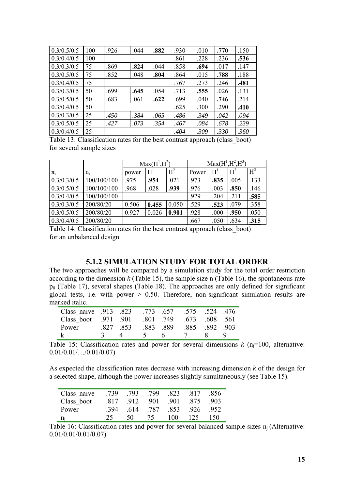| 0.3/0.5/0.5 | 100 | .926 | .044 | .882 | .930 | .010 | .770 | .150 |
|-------------|-----|------|------|------|------|------|------|------|
| 0.3/0.4/0.5 | 100 |      |      |      | .861 | .228 | .236 | .536 |
| 0.3/0.3/0.5 | 75  | .869 | .824 | .044 | .858 | .694 | .017 | .147 |
| 0.3/0.5/0.5 | 75  | .852 | .048 | .804 | .864 | .015 | .788 | .188 |
| 0.3/0.4/0.5 | 75  |      |      |      | .767 | .273 | .246 | .481 |
| 0.3/0.3/0.5 | 50  | .699 | .645 | .054 | .713 | .555 | .026 | .131 |
| 0.3/0.5/0.5 | 50  | .683 | .061 | .622 | .699 | .040 | .746 | .214 |
| 0.3/0.4/0.5 | 50  |      |      |      | .625 | .300 | .290 | .410 |
| 0.3/0.3/0.5 | 25  | .450 | .384 | .065 | .486 | .349 | .042 | .094 |
| 0.3/0.5/0.5 | 25  | .427 | .073 | .354 | .467 | .084 | .678 | .239 |
| 0.3/0.4/0.5 | 25  |      |      |      | .404 | .309 | .330 | .360 |

Table 13: Classification rates for the best contrast approach (class\_boot) for several sample sizes

|             |             | $Max(H^1, H^2)$ |       |       | $Max(H^1, H^2, H^3)$ |       |                |       |
|-------------|-------------|-----------------|-------|-------|----------------------|-------|----------------|-------|
| $\pi_i$     | $n_i$       | power           | $H^1$ | $H^2$ | Power                | $H^1$ | H <sup>2</sup> | $H^3$ |
| 0.3/0.3/0.5 | 100/100/100 | .975            | .954  | .021  | .973                 | .835  | .005           | .133  |
| 0.3/0.5/0.5 | 100/100/100 | .968            | .028  | .939  | .976                 | .003  | .850           | .146  |
| 0.3/0.4/0.5 | 100/100/100 |                 |       |       | .929                 | .204  | .211           | .585  |
| 0.3/0.3/0.5 | 200/80/20   | 0.506           | 0.455 | 0.050 | .529                 | .523  | .079           | .358  |
| 0.3/0.5/0.5 | 200/80/20   | 0.927           | 0.026 | 0.901 | .928                 | .000  | .950           | .050  |
| 0.3/0.4/0.5 | 200/80/20   |                 |       |       | .667                 | .050  | .634           | .315  |

Table 14: Classification rates for the best contrast approach (class\_boot) for an unbalanced design

## **5.1.2 SIMULATION STUDY FOR TOTAL ORDER**

The two approaches will be compared by a simulation study for the total order restriction according to the dimension *k* (Table 15), the sample size n (Table 16), the spontaneous rate  $p_0$  (Table 17), several shapes (Table 18). The approaches are only defined for significant global tests, i.e. with power  $> 0.50$ . Therefore, non-significant simulation results are marked italic.

| .476 Class naive .913 .823 .773 .657 .575 .524 .476 |         |  |                          |     |
|-----------------------------------------------------|---------|--|--------------------------|-----|
| Class boot .971 .901                                |         |  | .801 .749 .673 .608 .561 |     |
| Power                                               | 827 853 |  | .883 .889 .885 .892 .903 |     |
|                                                     |         |  | 4 5 6 7 8                | ∣ ⊌ |

Table 15: Classification rates and power for several dimensions  $k$  (n<sub>j</sub>=100, alternative: 0.01/0.01/…/0.01/0.07)

As expected the classification rates decrease with increasing dimension *k* of the design for a selected shape, although the power increases slightly simultaneously (see Table 15).

| Class naive | -739 |     | 793 799 | .823 | .817    | -856  |
|-------------|------|-----|---------|------|---------|-------|
| Class boot  | 817  |     | 912 901 |      | 901 875 | - 903 |
| Power       | -394 | 614 | .787    | 853  | 926     | - 952 |
| $n_i$       | 25.  | 50. | 75.     | 100- | 125     | -150  |

Table 16: Classification rates and power for several balanced sample sizes  $n_i$  (Alternative: 0.01/0.01/0.01/0.07)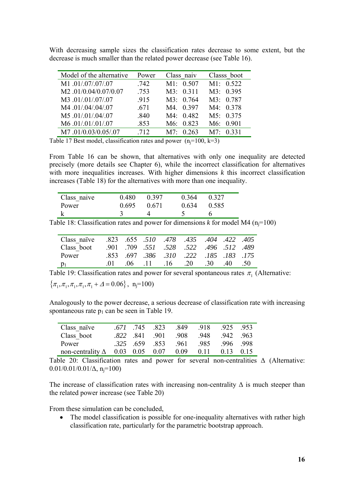| With decreasing sample sizes the classification rates decrease to some extent, but the |  |  |  |  |  |  |
|----------------------------------------------------------------------------------------|--|--|--|--|--|--|
| decrease is much smaller than the related power decrease (see Table 16).               |  |  |  |  |  |  |

| Model of the alternative | Power | Class naiv       | Classs boot      |
|--------------------------|-------|------------------|------------------|
| M1.01/.07/.07/.07        | .742  | M1: 0.507        | M1: 0.522        |
| M2.01/0.04/0.07/0.07     | .753  | M3: 0.311        | M3: 0.395        |
| M3.01/.01/.07/.07        | .915  | M3: 0.764        | M3: 0.787        |
| M4.01/.04/.04/.07        | .671  | M4. 0.397        | M4: 0.378        |
| M5.01/.01/.04/.07        | .840  | M4: 0.482        | M5: 0.375        |
| M6.01/.01/.01/.07        | .853  | M6: 0.823        | M6: 0.901        |
| M7.01/0.03/0.05/.07      | 712   | $M7 \cdot 0.263$ | $M7 \cdot 0.331$ |

Table 17 Best model, classification rates and power  $(n=100, k=3)$ 

From Table 16 can be shown, that alternatives with only one inequality are detected precisely (more details see Chapter 6), while the incorrect classification for alternatives with more inequalities increases. With higher dimensions *k* this incorrect classification increases (Table 18) for the alternatives with more than one inequality.

| Class naive | 0.480 | 0.397 | 0.364 | 0 3 2 7 |
|-------------|-------|-------|-------|---------|
| Power       | 0.695 | 0.671 | 0.634 | 0.585   |
|             |       |       |       |         |

Table 18: Classification rates and power for dimensions  $k$  for model M4 (n<sub>i</sub>=100)

| 405. 422 405. 404 422 510 478 435 404 422 |  |                                          |  |  |
|-------------------------------------------|--|------------------------------------------|--|--|
| Class boot                                |  | .489 .512 .496 .522 .528 .528 .522 .496. |  |  |
| Power                                     |  | .853. 175. 185. 222. 310. 386. 697. 853. |  |  |
| $p_1$                                     |  | .01 .06 .11 .16 .20 .30 .40 .50          |  |  |

Table 19: Classification rates and power for several spontaneous rates  $\pi_1$  (Alternative:

 $\{\pi_1, \pi_1, \pi_1, \pi_1, \pi_1 + \Delta = 0.06\}, \ \ \text{n}_i = 100$ 

Analogously to the power decrease, a serious decrease of classification rate with increasing spontaneous rate  $p_1$  can be seen in Table 19.

| Class naïve                                 | .671.745.823 |                | - 849 | -918 | 925 953    |  |
|---------------------------------------------|--------------|----------------|-------|------|------------|--|
| Class boot                                  |              | .822 841 901   | - 908 | -948 | 942 963    |  |
| Power                                       |              | $.325$ 659 853 | .961  | -985 | -996 - 998 |  |
| non-centrality $\Delta$ 0.03 0.05 0.07 0.09 |              |                |       | 011  | $013$ 015  |  |

Table 20: Classification rates and power for several non-centralities Δ (Alternative:  $0.01/0.01/0.01/\Delta$ , n<sub>i</sub>=100)

The increase of classification rates with increasing non-centrality  $\Delta$  is much steeper than the related power increase (see Table 20)

From these simulation can be concluded,

• The model classification is possible for one-inequality alternatives with rather high classification rate, particularly for the parametric bootstrap approach.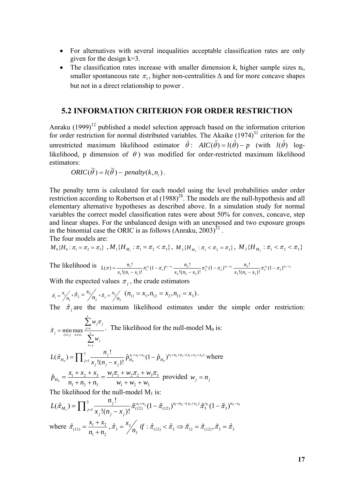- For alternatives with several inequalities acceptable classification rates are only given for the design  $k=3$ .
- The classification rates increase with smaller dimension *k*, higher sample sizes ni, smaller spontaneous rate  $\pi_1$ , higher non-centralities  $\Delta$  and for more concave shapes but not in a direct relationship to power .

#### **5.2 INFORMATION CRITERION FOR ORDER RESTRICTION**

Anraku  $(1999)^{12}$  published a model selection approach based on the information criterion for order restriction for normal distributed variables. The Akaike  $(1974)^{31}$  criterion for the unrestricted maximum likelihood estimator  $\hat{\theta}$ :  $AIC(\hat{\theta}) = l(\hat{\theta}) - p$  (with  $l(\hat{\theta})$  loglikelihood, p dimension of  $\theta$ ) was modified for order-restricted maximum likelihood estimators:

ORIC(
$$
\tilde{\theta}
$$
) =  $l(\tilde{\theta})$  – penalty( $k, n_i$ ).

The penalty term is calculated for each model using the level probabilities under order restriction according to Robertson et al  $(1988)^{28}$ . The models are the null-hypothesis and all elementary alternative hypotheses as described above. In a simulation study for normal variables the correct model classification rates were about 50% for convex, concave, step and linear shapes. For the unbalanced design with an unexposed and two exposure groups in the binomial case the ORIC is as follows (Anraku,  $2003$ )<sup>32</sup>.

The four models are:

$$
M_0\{H_0: \pi_1 = \pi_2 = \pi_3\} , M_1\{H_{M_1}: \pi_1 = \pi_2 < \pi_3\}, M_2\{H_{M_2}: \pi_1 < \pi_2 = \pi_3\}, M_3\{H_{M_3}: \pi_1 < \pi_2 < \pi_3\}
$$

The likelihood is  $L(\pi) = \frac{n_1!}{x_1! (n_1 - x_1)!} \pi_1^{x_1} (1 - \pi_1)^{n_1 - x_1} \frac{n_2!}{x_2! (n_2 - x_2)!} \pi_2^{x_2} (1 - \pi_2)^{n_2 - x_2} \frac{n_3!}{x_3! (n_3 - x_3)!} \pi_3^{x_3} (1 - \pi_3)^{n_3 - x_2}$ 

With the expected values  $\pi_i$ , the crude estimators

$$
\hat{\pi}_1 = \frac{x_1}{n_1}, \hat{\pi}_2 = \frac{x_2}{n_2}, \hat{\pi}_3 = \frac{x_3}{n_3} \quad (n_{11} = x_1, n_{12} = x_2, n_{13} = x_3).
$$

The  $\tilde{\pi}$  are the maximum likelihood estimates under the simple order restriction:

$$
\tilde{\pi}_{j} = \min_{t:2} \max_{s:s\leq i} \frac{\sum_{j=s}^{t} w_{j}\pi_{j}}{\sum_{s=j}^{t} w_{j}}.
$$
 The likelihood for the null-model M<sub>0</sub> is:  
\n
$$
L(\hat{\pi}_{H_{0}}) = \prod_{j=1}^{3} \frac{n_{j}!}{x_{j}!(n_{j}-x_{j})!} \hat{p}_{H_{0}}^{x_{1}+x_{2}+x_{3}}(1-\hat{p}_{H_{0}})^{n_{1}+n_{2}+n_{3}-(x_{1}+x_{2}+x_{3})}
$$
 where  
\n
$$
\hat{p}_{H_{0}} = \frac{x_{1} + x_{2} + x_{3}}{n_{1} + n_{2} + n_{3}} = \frac{w_{1}\pi_{1} + w_{2}\pi_{2} + w_{3}\pi_{3}}{w_{1} + w_{2} + w_{3}}
$$
 provided  $w_{j} = n_{j}$ 

The likelihood for the null-model  $M_1$  is:

$$
L(\hat{\pi}_{M_1}) = \prod_{j=1}^{3} \frac{n_j!}{x_j!(n_j - x_j)!} \tilde{\pi}_{(12)}^{x_1 + x_2} (1 - \tilde{\pi}_{(12)})^{n_1 + n_2 - (x_1 + x_2)} \tilde{\pi}_3^{x_3} (1 - \tilde{\pi}_3)^{n_3 - x_3}
$$
  
where  $\hat{\pi}_{(12)} = \frac{x_1 + x_2}{n_1 + n_2}, \hat{\pi}_3 = \frac{x_3}{n_3}$  if  $\hat{\pi}_{(12)} < \hat{\pi}_3 \implies \tilde{\pi}_{12} = \tilde{\pi}_{(12)}, \tilde{\pi}_3 = \hat{\pi}_3$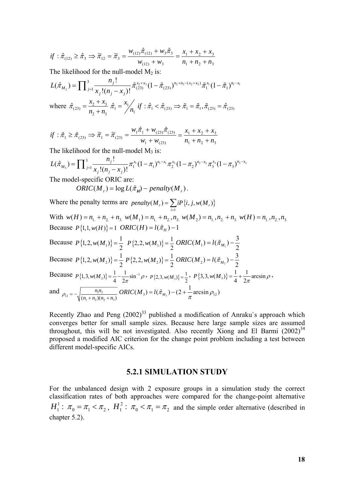$$
if: \hat{\pi}_{(12)} \ge \hat{\pi}_3 \implies \tilde{\pi}_{12} = \tilde{\pi}_3 = \frac{w_{(12)}\hat{\pi}_{(12)} + w_3\hat{\pi}_3}{w_{(12)} + w_3} = \frac{x_1 + x_2 + x_3}{n_1 + n_2 + n_3}
$$

The likelihood for the null-model  $M_2$  is:

$$
L(\hat{\pi}_{M_2}) = \prod_{j=1}^{3} \frac{n_j!}{x_j!(n_j - x_j)!} \tilde{\pi}_{(23)}^{x_2 + x_3} (1 - \tilde{\pi}_{(23)})^{n_2 + n_3 - (x_2 + x_3)} \tilde{\pi}_1^{x_1} (1 - \tilde{\pi}_1)^{n_1 - x_1}
$$
  
where  $\hat{\pi}_{(23)} = \frac{x_2 + x_3}{n_2 + n_3} \hat{\pi}_1 = \frac{x_1}{n_1} \hat{\pi}_1 \hat{\pi}_1 < \hat{\pi}_{(23)} \implies \tilde{\pi}_1 = \tilde{\pi}_1, \tilde{\pi}_{(23)} = \hat{\pi}_{(23)}$ 

$$
if: \hat{\pi}_1 \ge \hat{\pi}_{(23)} \Rightarrow \tilde{\pi}_1 = \tilde{\pi}_{(23)} = \frac{w_1 \hat{\pi}_1 + w_{(23)} \hat{\pi}_{(23)}}{w_1 + w_{(23)}} = \frac{x_1 + x_2 + x_3}{n_1 + n_2 + n_3}
$$

The likelihood for the null-model  $M_3$  is:

$$
L(\hat{\pi}_{M_3}) = \prod_{j=1}^{3} \frac{n_j!}{x_j!(n_j - x_j)!} \pi_1^{x_1} (1 - \pi_1)^{n_1 - x_1} \pi_2^{x_2} (1 - \pi_2)^{n_2 - x_2} \pi_3^{x_3} (1 - \pi_3)^{n_3 - x_3}
$$
  
The model-specific ORIC are:  
*ORIC(M\_r)* = log  $L(\tilde{\pi}_M)$  – penalty $(M_r)$ .  
Where the penalty terms are *penalty(M\_r)* =  $\sum i P\{i, j, w(M_r)\}$ 

*i*=1 With  $w(H) = n_1 + n_2 + n_3$ ,  $w(M_1) = n_1 + n_2$ ,  $n_3$ ,  $w(M_2) = n_1$ ,  $n_2 + n_3$ ,  $w(H) = n_1$ ,  $n_2$ ,  $n_3$ Because  $P\{1, 1, w(H)\} = 1$  *ORIC*(*H*) =  $l(\tilde{\pi}_H) - 1$ 

Because  $P\{1, 2, w(M_1)\} = \frac{1}{2} P\{2, 2, w(M_1)\} = \frac{1}{2} ORIC(M_1) = l(\tilde{\pi}_{M_1}) - \frac{3}{2}$ 

Because  $P\{1, 2, w(M_2)\} = \frac{1}{2} P\{2, 2, w(M_2)\} = \frac{1}{2} ORIC(M_2) = l(\tilde{\pi}_{M_2}) - \frac{3}{2}$ 

Because 
$$
P\{1, 3, w(M_3)\} = \frac{1}{4} - \frac{1}{2\pi} \sin^{-1} \rho
$$
,  $P\{2, 3, w(M_3)\} = \frac{1}{2}$ ,  $P\{3, 3, w(M_3)\} = \frac{1}{4} + \frac{1}{2\pi} \arcsin \rho$ ,  
and  $\rho_{12} = -\sqrt{\frac{n_1 n_3}{(n_1 + n_2)(n_2 + n_3)}} ORIC(M_3) = l(\hat{\pi}_{M_3}) - (2 + \frac{1}{\pi} \arcsin \rho_{12})$ 

Recently Zhao and Peng  $(2002)^{33}$  published a modification of Anraku's approach which converges better for small sample sizes. Because here large sample sizes are assumed throughout, this will be not investigated. Also recently Xiong and El Barmi  $(2002)^{34}$ proposed a modified AIC criterion for the change point problem including a test between different model-specific AICs.

#### **5.2.1 SIMULATION STUDY**

For the unbalanced design with 2 exposure groups in a simulation study the correct classification rates of both approaches were compared for the change-point alternative  $H_1^1$ :  $\pi_0 = \pi_1 < \pi_2$ ,  $H_1^2$ :  $\pi_0 < \pi_1 = \pi_2$  and the simple order alternative (described in chapter 5.2).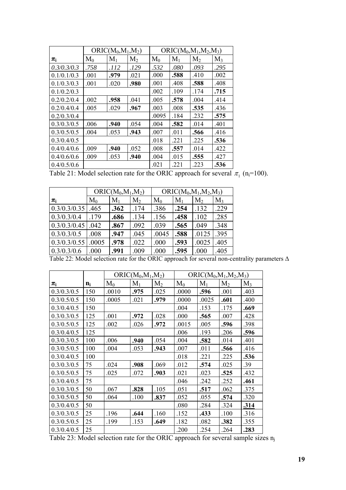|             |       | $ORIC(M_0, M_1, M_2)$ |                |       |       | $ORIC(M_0, M_1, M_2, M_3)$ |       |
|-------------|-------|-----------------------|----------------|-------|-------|----------------------------|-------|
| $\pi_i$     | $M_0$ | $M_1$                 | M <sub>2</sub> | $M_0$ | $M_1$ | M <sub>2</sub>             | $M_3$ |
| 0.3/0.3/0.3 | .758  | .112                  | .129           | .532  | .080  | .093                       | .295  |
| 0.1/0.1/0.3 | .001  | .979                  | .021           | .000  | .588  | .410                       | .002  |
| 0.1/0.3/0.3 | .001  | .020                  | .980           | .001  | .408  | .588                       | .408  |
| 0.1/0.2/0.3 |       |                       |                | .002  | .109  | .174                       | .715  |
| 0.2/0.2/0.4 | .002  | .958                  | .041           | .005  | .578  | .004                       | .414  |
| 0.2/0.4/0.4 | .005  | .029                  | .967           | .003  | .008  | .535                       | .436  |
| 0.2/0.3/0.4 |       |                       |                | .0095 | .184  | .232                       | .575  |
| 0.3/0.3/0.5 | .006  | .940                  | .054           | .004  | .582  | .014                       | .401  |
| 0.3/0.5/0.5 | .004  | .053                  | .943           | .007  | .011  | .566                       | .416  |
| 0.3/0.4/0.5 |       |                       |                | .018  | .221  | .225                       | .536  |
| 0.4/0.4/0.6 | .009  | .940                  | .052           | .008  | .557  | .014                       | .422  |
| 0.4/0.6/0.6 | .009  | .053                  | .940           | .004  | .015  | .555                       | .427  |
| 0.4/0.5/0.6 |       |                       |                | .021  | .221  | .223                       | .536  |

Table 21: Model selection rate for the ORIC approach for several  $\pi_1$  (n<sub>i</sub>=100).

|              | $ORIC(M_0, M_1, M_2)$ |       |                |       | $ORIC(M_0, M_1, M_2, M_3)$ |                |       |  |
|--------------|-----------------------|-------|----------------|-------|----------------------------|----------------|-------|--|
| $\pi_i$      | $M_0$                 | $M_1$ | M <sub>2</sub> | $M_0$ | $M_1$                      | M <sub>2</sub> | $M_3$ |  |
| 0.3/0.3/0.35 | .465                  | .362  | .174           | .386  | .254                       | .132           | .229  |  |
| 0.3/0.3/0.4  | .179                  | .686  | .134           | .156  | .458                       | .102           | .285  |  |
| 0.3/0.3/0.45 | .042                  | .867  | .092           | .039  | .565                       | .049           | .348  |  |
| 0.3/0.3/0.5  | .008                  | .947  | .045           | .0045 | .588                       | .0125          | .395  |  |
| 0.3/0.3/0.55 | .0005                 | .978  | .022           | .000  | .593                       | .0025          | .405  |  |
| 0.3/0.3/0.6  | .000                  | .991  | .009           | .000  | .595                       | .000           | .405  |  |

Table 22: Model selection rate for the ORIC approach for several non-centrality parameters Δ

|             |       |       | $ORIC(M_0, M_1, M_2)$ |                |       |       | $ORIC(M_0, M_1, M_2, M_3)$ |       |
|-------------|-------|-------|-----------------------|----------------|-------|-------|----------------------------|-------|
| $\pi_i$     | $n_i$ | $M_0$ | $M_1$                 | M <sub>2</sub> | $M_0$ | $M_1$ | M <sub>2</sub>             | $M_3$ |
| 0.3/0.3/0.5 | 150   | .0010 | .975                  | .025           | .0000 | .596  | .001                       | .403  |
| 0.3/0.5/0.5 | 150   | .0005 | .021                  | .979           | .0000 | .0025 | .601                       | .400  |
| 0.3/0.4/0.5 | 150   |       |                       |                | .004  | .153  | .175                       | .669  |
| 0.3/0.3/0.5 | 125   | .001  | .972                  | .028           | .000  | .565  | .007                       | .428  |
| 0.3/0.5/0.5 | 125   | .002  | .026                  | .972           | .0015 | .005  | .596                       | .398  |
| 0.3/0.4/0.5 | 125   |       |                       |                | .006  | .193  | .206                       | .596  |
| 0.3/0.3/0.5 | 100   | .006  | .940                  | .054           | .004  | .582  | .014                       | .401  |
| 0.3/0.5/0.5 | 100   | .004  | .053                  | .943           | .007  | .011  | .566                       | .416  |
| 0.3/0.4/0.5 | 100   |       |                       |                | .018  | .221  | .225                       | .536  |
| 0.3/0.3/0.5 | 75    | .024  | .908                  | .069           | .012  | .574  | .025                       | .39   |
| 0.3/0.5/0.5 | 75    | .025  | .072                  | .903           | .021  | .023  | .525                       | .432  |
| 0.3/0.4/0.5 | 75    |       |                       |                | .046  | .242  | .252                       | .461  |
| 0.3/0.3/0.5 | 50    | .067  | .828                  | .105           | .051  | .517  | .062                       | .375  |
| 0.3/0.5/0.5 | 50    | .064  | .100                  | .837           | .052  | .055  | .574                       | .320  |
| 0.3/0.4/0.5 | 50    |       |                       |                | .080  | .284  | .324                       | .314  |
| 0.3/0.3/0.5 | 25    | .196  | .644                  | .160           | .152  | .433  | .100                       | .316  |
| 0.3/0.5/0.5 | 25    | .199  | .153                  | .649           | .182  | .082  | .382                       | .355  |
| 0.3/0.4/0.5 | 25    |       |                       |                | .200  | .254  | .264                       | .283  |

Table 23: Model selection rate for the ORIC approach for several sample sizes  $n_j$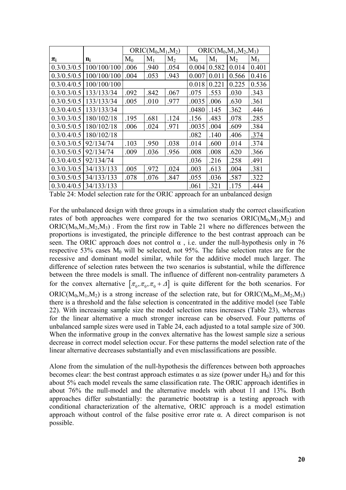|             |             |       | $ORIC(M_0, M_1, M_2)$ |       |       |       | $ORIC(M_0, M_1, M_2, M_3)$ |       |
|-------------|-------------|-------|-----------------------|-------|-------|-------|----------------------------|-------|
| $\pi_i$     | $n_i$       | $M_0$ | $M_1$                 | $M_2$ | $M_0$ | $M_1$ | M <sub>2</sub>             | $M_3$ |
| 0.3/0.3/0.5 | 100/100/100 | .006  | .940                  | .054  | 0.004 | 0.582 | 0.014                      | 0.401 |
| 0.3/0.5/0.5 | 100/100/100 | .004  | .053                  | .943  | 0.007 | 0.011 | 0.566                      | 0.416 |
| 0.3/0.4/0.5 | 100/100/100 |       |                       |       | 0.018 | 0.221 | 0.225                      | 0.536 |
| 0.3/0.3/0.5 | 133/133/34  | .092  | .842                  | .067  | .075  | .553  | .030                       | .343  |
| 0.3/0.5/0.5 | 133/133/34  | .005  | .010                  | .977  | .0035 | .006  | .630                       | .361  |
| 0.3/0.4/0.5 | 133/133/34  |       |                       |       | .0480 | .145  | .362                       | .446  |
| 0.3/0.3/0.5 | 180/102/18  | .195  | .681                  | .124  | .156  | .483  | .078                       | .285  |
| 0.3/0.5/0.5 | 180/102/18  | .006  | .024                  | .971  | .0035 | .004  | .609                       | .384  |
| 0.3/0.4/0.5 | 180/102/18  |       |                       |       | .082  | .140  | .406                       | .374  |
| 0.3/0.3/0.5 | 92/134/74   | .103  | .950                  | .038  | .014  | .600  | .014                       | .374  |
| 0.3/0.5/0.5 | 92/134/74   | .009  | .036                  | .956  | .008  | .008  | .620                       | .366  |
| 0.3/0.4/0.5 | 92/134/74   |       |                       |       | .036  | .216  | .258                       | .491  |
| 0.3/0.3/0.5 | 34/133/133  | .005  | .972                  | .024  | .003  | .613  | .004                       | .381  |
| 0.3/0.5/0.5 | 34/133/133  | .078  | .076                  | .847  | .055  | .036  | .587                       | .322  |
| 0.3/0.4/0.5 | 34/133/133  |       |                       |       | .061  | .321  | .175                       | .444  |

Table 24: Model selection rate for the ORIC approach for an unbalanced design

For the unbalanced design with three groups in a simulation study the correct classification rates of both approaches were compared for the two scenarios  $ORIC(M_0, M_1, M_2)$  and  $ORIC(M_0,M_1,M_2,M_3)$ . From the first row in Table 21 where no differences between the proportions is investigated, the principle difference to the best contrast approach can be seen. The ORIC approach does not control  $\alpha$ , i.e. under the null-hypothesis only in 76 respective 53% cases  $M_0$  will be selected, not 95%. The false selection rates are for the recessive and dominant model similar, while for the additive model much larger. The difference of selection rates between the two scenarios is substantial, while the difference between the three models is small. The influence of different non-centrality parameters  $\Delta$ for the convex alternative  $[\pi_0, \pi_0, \pi_0 + \Delta]$  is quite different for the both scenarios. For ORIC( $M_0, M_1, M_2$ ) is a strong increase of the selection rate, but for ORIC( $M_0, M_1, M_2, M_3$ ) there is a threshold and the false selection is concentrated in the additive model (see Table 22). With increasing sample size the model selection rates increases (Table 23), whereas for the linear alternative a much stronger increase can be observed. Four patterns of unbalanced sample sizes were used in Table 24, each adjusted to a total sample size of 300. When the informative group in the convex alternative has the lowest sample size a serious decrease in correct model selection occur. For these patterns the model selection rate of the linear alternative decreases substantially and even misclassifications are possible.

Alone from the simulation of the null-hypothesis the differences between both approaches becomes clear: the best contrast approach estimates  $\alpha$  as size (power under H<sub>0</sub>) and for this about 5% each model reveals the same classification rate. The ORIC approach identifies in about 76% the null-model and the alternative models with about 11 and 13%. Both approaches differ substantially: the parametric bootstrap is a testing approach with conditional characterization of the alternative, ORIC approach is a model estimation approach without control of the false positive error rate  $\alpha$ . A direct comparison is not possible.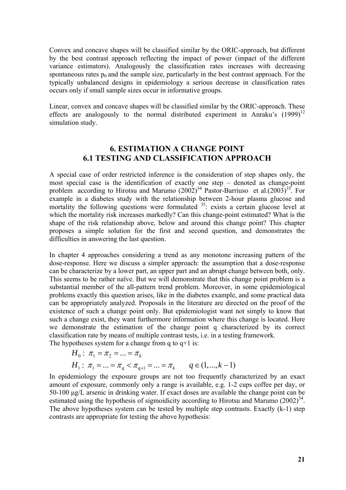Convex and concave shapes will be classified similar by the ORIC-approach, but different by the best contrast approach reflecting the impact of power (impact of the different variance estimators). Analogously the classification rates increases with decreasing spontaneous rates  $p_0$  and the sample size, particularly in the best contrast approach. For the typically unbalanced designs in epidemiology a serious decrease in classification rates occurs only if small sample sizes occur in informative groups.

Linear, convex and concave shapes will be classified similar by the ORIC-approach. These effects are analogously to the normal distributed experiment in Anraku's  $(1999)^{12}$ simulation study.

## **6. ESTIMATION A CHANGE POINT 6.1 TESTING AND CLASSIFICATION APPROACH**

A special case of order restricted inference is the consideration of step shapes only, the most special case is the identification of exactly one step – denoted as change-point problem according to Hirotsu and Marumo  $(2002)^{34}$  Pastor-Barriuso et al. $(2003)^{35}$ . For example in a diabetes study with the relationship between 2-hour plasma glucose and mortality the following questions were formulated  $35$ : exists a certain glucose level at which the mortality risk increases markedly? Can this change-point estimated? What is the shape of the risk relationship above, below and around this change point? This chapter proposes a simple solution for the first and second question, and demonstrates the difficulties in answering the last question.

In chapter 4 approaches considering a trend as any monotone increasing pattern of the dose-response. Here we discuss a simpler approach: the assumption that a dose-response can be characterize by a lower part, an upper part and an abrupt change between both, only. This seems to be rather naïve. But we will demonstrate that this change point problem is a substantial member of the all-pattern trend problem. Moreover, in some epidemiological problems exactly this question arises, like in the diabetes example, and some practical data can be appropriately analyzed. Proposals in the literature are directed on the proof of the existence of such a change point only. But epidemiologist want not simply to know that such a change exist, they want furthermore information where this change is located. Here we demonstrate the estimation of the change point q characterized by its correct classification rate by means of multiple contrast tests, i.e. in a testing framework. The hypotheses system for a change from  $q$  to  $q+1$  is:

$$
H_0: \ \pi_1 = \pi_2 = \dots = \pi_k
$$
  
\n
$$
H_1: \ \pi_1 = \dots = \pi_q < \pi_{q+1} = \dots = \pi_k \qquad q \in (1, \dots, k-1)
$$

In epidemiology the exposure groups are not too frequently characterized by an exact amount of exposure, commonly only a range is available, e.g. 1-2 cups coffee per day, or 50-100 μg/L arsenic in drinking water. If exact doses are available the change point can be estimated using the hypothesis of sigmoidicity according to Hirotsu and Marumo  $(2002)^{34}$ . The above hypotheses system can be tested by multiple step contrasts. Exactly (k-1) step contrasts are appropriate for testing the above hypothesis: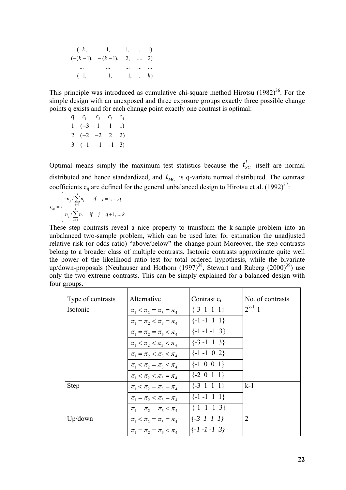|                          | $(-k,$ 1, 1,  1)                |                  |  |
|--------------------------|---------------------------------|------------------|--|
|                          | $(-(k-1), -(k-1), 2, \dots 2)$  |                  |  |
| <b>Contract Contract</b> | المناد المناد المنادر المنادرات |                  |  |
| $(-1,$                   | $-1$                            | $-1, \ldots, k)$ |  |

This principle was introduced as cumulative chi-square method Hirotsu  $(1982)^{36}$ . For the simple design with an unexposed and three exposure groups exactly three possible change points q exists and for each change point exactly one contrast is optimal:

 $q \quad c_1 \quad c_2 \quad c_3 \quad c_4$  $1 \quad (-3 \quad 1 \quad 1 \quad 1)$  $2(-2 -2 2 2)$  $3(-1 -1 -1 3)$ 

Optimal means simply the maximum test statistics because the  $t_{SC}^i$  itself are normal distributed and hence standardized, and  $t_{MC}$  is q-variate normal distributed. The contrast coefficients  $c_{ij}$  are defined for the general unbalanced design to Hirotsu et al. (1992)<sup>37</sup>:

$$
c_{ij} = \begin{cases} -n_j / \sum_{l=1}^j n_l & \text{if } j = 1, ..., q \\ n_j / \sum_{l=j}^k n_l & \text{if } j = q+1, ..., k \end{cases}
$$

These step contrasts reveal a nice property to transform the k-sample problem into an unbalanced two-sample problem, which can be used later for estimation the unadjusted relative risk (or odds ratio) "above/below" the change point Moreover, the step contrasts belong to a broader class of multiple contrasts. Isotonic contrasts approximate quite well the power of the likelihood ratio test for total ordered hypothesis, while the bivariate up/down-proposals (Neuhauser and Hothorn  $(1997)^{38}$ , Stewart and Ruberg  $(2000)^{39}$ ) use only the two extreme contrasts. This can be simply explained for a balanced design with four groups.

| Type of contrasts | Alternative                     | Contrast $c_i$       | No. of contrasts |
|-------------------|---------------------------------|----------------------|------------------|
| Isotonic          | $\pi_1 < \pi_2 = \pi_3 = \pi_4$ | $\{-3 \ 1 \ 1 \ 1\}$ | $2^{k-1}-1$      |
|                   | $\pi_1 = \pi_2 < \pi_3 = \pi_4$ | $\{-1 -1 1 1 \}$     |                  |
|                   | $\pi_1 = \pi_2 = \pi_3 < \pi_4$ | $\{-1 -1 -1 3\}$     |                  |
|                   | $\pi_1 < \pi_2 < \pi_3 < \pi_4$ | $\{-3 -1 \ 1 \ 3\}$  |                  |
|                   | $\pi_1 = \pi_2 < \pi_3 < \pi_4$ | $\{-1 -1 0 2\}$      |                  |
|                   | $\pi_1 < \pi_2 = \pi_3 < \pi_4$ | $\{-1 \ 0 \ 0 \ 1\}$ |                  |
|                   | $\pi_1 < \pi_2 < \pi_3 = \pi_4$ | $\{-2\ 0\ 1\ 1\}$    |                  |
| <b>Step</b>       | $\pi_1 < \pi_2 = \pi_3 = \pi_4$ | $\{-3 \ 1 \ 1 \ 1\}$ | $k-1$            |
|                   | $\pi_1 = \pi_2 < \pi_3 = \pi_4$ | $\{-1 -1 \ 1 \ 1\}$  |                  |
|                   | $\pi_1 = \pi_2 = \pi_3 < \pi_4$ | $\{-1 -1 -1 3\}$     |                  |
| Up/down           | $\pi_1 < \pi_2 = \pi_3 = \pi_4$ | $\{-3\;1\;1\;1\}$    | $\overline{2}$   |
|                   | $\pi_1 = \pi_2 = \pi_3 < \pi_4$ | $\{-1 -1 -1 3\}$     |                  |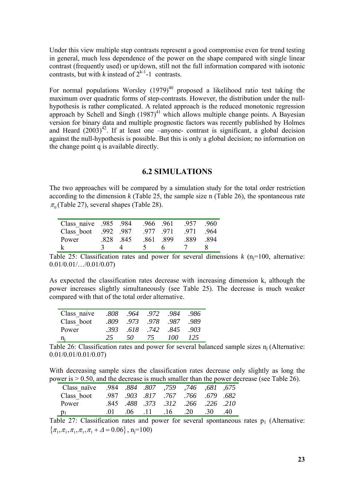Under this view multiple step contrasts represent a good compromise even for trend testing in general, much less dependence of the power on the shape compared with single linear contrast (frequently used) or up/down, still not the full information compared with isotonic contrasts, but with *k* instead of  $2^{k-1}-1$  contrasts.

For normal populations Worsley  $(1979)^{40}$  proposed a likelihood ratio test taking the maximum over quadratic forms of step-contrasts. However, the distribution under the nullhypothesis is rather complicated. A related approach is the reduced monotonic regression approach by Schell and Singh  $(1987)^{41}$  which allows multiple change points. A Bayesian version for binary data and multiple prognostic factors was recently published by Holmes and Heard  $(2003)^{42}$ . If at least one –anyone- contrast is significant, a global decision against the null-hypothesis is possible. But this is only a global decision; no information on the change point q is available directly.

### **6.2 SIMULATIONS**

The two approaches will be compared by a simulation study for the total order restriction according to the dimension *k* (Table 25, the sample size n (Table 26), the spontaneous rate  $\pi$ <sub>0</sub> (Table 27), several shapes (Table 28).

| 984. Class naive 985 |                   |        | .966.961 | 957  | - 960 |
|----------------------|-------------------|--------|----------|------|-------|
| Class boot .992 .987 |                   |        | .977.971 | 971  | - 964 |
| Power                | 828 845           |        | 861 899  | -889 | -894  |
|                      | $\mathbf{\Delta}$ | $\sim$ |          |      |       |

Table 25: Classification rates and power for several dimensions  $k$  (n<sub>i</sub>=100, alternative: 0.01/0.01/…/0.01/0.07)

As expected the classification rates decrease with increasing dimension k, although the power increases slightly simultaneously (see Table 25). The decrease is much weaker compared with that of the total order alternative.

| Class naive | .808 |     |    | .964.972.984.986    |                 |
|-------------|------|-----|----|---------------------|-----------------|
| Class boot  | .809 |     |    | .973.978.987.989    |                 |
| Power       |      |     |    | 393 618 742 845 903 |                 |
| $n_i$       | -25- | 50. | 75 | 700.                | T <sub>25</sub> |

Table 26: Classification rates and power for several balanced sample sizes  $n_i$  (Alternative: 0.01/0.01/0.01/0.07)

With decreasing sample sizes the classification rates decrease only slightly as long the power is > 0.50, and the decrease is much smaller than the power decrease (see Table 26).

| 675, 681, 746, 759, 759, 884, 807, 984 |          |  |                                    |  |
|----------------------------------------|----------|--|------------------------------------|--|
| Class boot                             |          |  | .987 .903 .817 .767 .766 .679 .682 |  |
| Power                                  |          |  | .845 .488 .373 .312 .266 .226 .210 |  |
| $p_1$                                  | $\Omega$ |  | $(06 \t11 \t16 \t20 \t30 \t40$     |  |

Table 27: Classification rates and power for several spontaneous rates  $p_1$  (Alternative:  $\{\pi_1, \pi_1, \pi_1, \pi_1, \pi_1 + \Delta = 0.06\}$ , n<sub>j</sub>=100)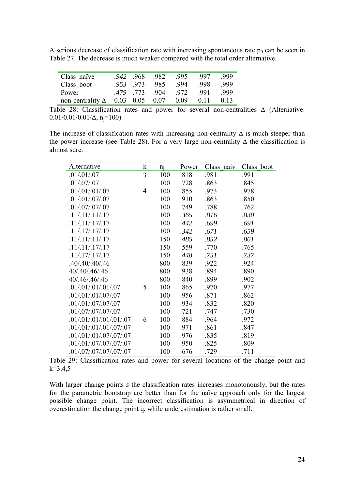A serious decrease of classification rate with increasing spontaneous rate  $p_0$  can be seen in Table 27. The decrease is much weaker compared with the total order alternative.

| Class naïve                            | .942 968 | - 982 | - 995 | -997 | -999 |
|----------------------------------------|----------|-------|-------|------|------|
| Class boot                             | 953 973  | -985  | - 994 | -998 | -999 |
| Power                                  | 479 773  | -904  | 972   | -991 | -999 |
| non-centrality $\Delta$ 0.03 0.05 0.07 |          |       | 0.09  | 011  | 0.13 |

Table 28: Classification rates and power for several non-centralities Δ (Alternative:  $0.01/0.01/0.01/\Delta$ , n<sub>i</sub>=100)

The increase of classification rates with increasing non-centrality  $\Delta$  is much steeper than the power increase (see Table 28). For a very large non-centrality  $\Delta$  the classification is almost sure.

| Alternative             | $\mathbf k$    | $n_i$ | Power | Class naiv | Class boot |
|-------------------------|----------------|-------|-------|------------|------------|
| .01/.01/.07             | 3              | 100   | .818  | .981       | .991       |
| .01/.07/.07             |                | 100   | .728  | .863       | .845       |
| .01/.01/.01/.07         | $\overline{4}$ | 100   | .855  | .973       | .978       |
| .01/.01/.07/.07         |                | 100   | .910  | .863       | .850       |
| .01/.07/.07/.07         |                | 100   | .749  | .788       | .762       |
| .11/.11/.11/.17         |                | 100   | .365  | .816       | .830       |
| .11/.11/.17/.17         |                | 100   | .442  | .699       | .691       |
| .11/.17/.17/.17         |                | 100   | .342  | .671       | .659       |
| .11/.11/.11/.17         |                | 150   | .485  | .852       | .861       |
| .11/.11/.17/.17         |                | 150   | .559  | .770       | .765       |
| .11/.17/.17/.17         |                | 150   | .448  | .751       | .737       |
| .40/.40/.40/.46         |                | 800   | .839  | .922       | .924       |
| 40/.40/.46/.46          |                | 800   | .938  | .894       | .890       |
| 40/.46/.46/.46          |                | 800   | .840  | .899       | .902       |
| .01/.01/.01/.01/.07     | 5              | 100   | .865  | .970       | .977       |
| .01/.01/.01/.07/.07     |                | 100   | .956  | .871       | .862       |
| .01/.01/.07/.07/.07     |                | 100   | .934  | .832       | .820       |
| .01/.07/.07/.07/.07     |                | 100   | .721  | .747       | .730       |
| .01/.01/.01/.01/.07     | 6              | 100   | .884  | .964       | .972       |
| .01/.01/.01/.07/.07     |                | 100   | .971  | .861       | .847       |
| .01/.01/.07/.07/.07     |                | 100   | .976  | .835       | .819       |
| .01/.01/.07/.07/.07/.07 |                | 100   | .950  | .825       | .809       |
| .01/.07/.07/.07/.07     |                | 100   | .676  | .729       | .711       |

Table 29: Classification rates and power for several locations of the change point and  $k=3,4,5$ 

With larger change points *s* the classification rates increases monotonously, but the rates for the parametric bootstrap are better than for the naïve approach only for the largest possible change point. The incorrect classification is asymmetrical in direction of overestimation the change point q, while underestimation is rather small.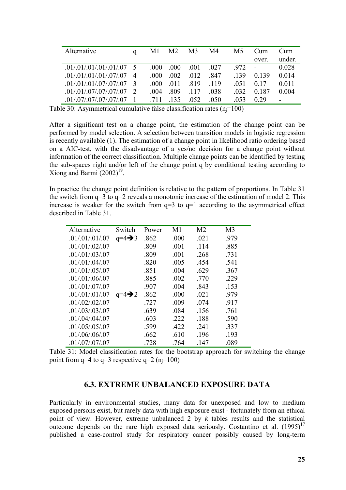| Alternative                 | M1    | M2    | M <sub>3</sub> | M4    | M <sub>5</sub> | Cum        | Cum     |
|-----------------------------|-------|-------|----------------|-------|----------------|------------|---------|
|                             |       |       |                |       |                | over.      | under.  |
| $.01/.01/.01/.01/.07$ 5     | -000- | .000  | .001           | 027   | .972           | $\sim 100$ | 0.028   |
| $.01/01/01/01/07/07$ 4      | 000   | - 002 | 012            | 847   | -139           | 0.139      | 0.014   |
| $.01/01/01/07/07/07/07$ 3   | -000  | 011   | -819           | - 119 | -051           | 0.17       | 0 0 1 1 |
| $.01/.01/.07/.07/.07/.07$ 2 | 004   | -809  | -117           | -038  | -032           | 0.187      | 0.004   |
| .01/07/07/07/07/07          | 711   | - 135 | 052            | 050   | 053            | 0.29       |         |

Table 30: Asymmetrical cumulative false classification rates  $(n_i=100)$ 

After a significant test on a change point, the estimation of the change point can be performed by model selection. A selection between transition models in logistic regression is recently available (1). The estimation of a change point in likelihood ratio ordering based on a AIC-test, with the disadvantage of a yes/no decision for a change point without information of the correct classification. Multiple change points can be identified by testing the sub-spaces right and/or left of the change point q by conditional testing according to Xiong and Barmi  $(2002)^{19}$ .

In practice the change point definition is relative to the pattern of proportions. In Table 31 the switch from  $q=3$  to  $q=2$  reveals a monotonic increase of the estimation of model 2. This increase is weaker for the switch from  $q=3$  to  $q=1$  according to the asymmetrical effect described in Table 31.

| Alternative     | Switch             | Power | M1   | M <sub>2</sub> | M <sub>3</sub> |
|-----------------|--------------------|-------|------|----------------|----------------|
| .01/.01/.01/.07 | $q=4\rightarrow 3$ | .862  | .000 | .021           | .979           |
| .01/.01/.02/.07 |                    | .809  | .001 | .114           | .885           |
| .01/.01/.03/.07 |                    | .809  | .001 | .268           | .731           |
| .01/.01/.04/.07 |                    | .820  | .005 | .454           | .541           |
| .01/.01/.05/.07 |                    | .851  | .004 | .629           | .367           |
| .01/0.01/06/07  |                    | .885  | .002 | .770           | .229           |
| .01/.01/.07/.07 |                    | .907  | .004 | .843           | .153           |
| .01/.01/.01/.07 | $q=4\rightarrow 2$ | .862  | .000 | .021           | .979           |
| .01/.02/.02/.07 |                    | .727  | .009 | .074           | .917           |
| .01/.03/.03/.07 |                    | .639  | .084 | .156           | .761           |
| .01/.04/.04/.07 |                    | .603  | .222 | .188           | .590           |
| .01/.05/.05/.07 |                    | .599  | .422 | .241           | .337           |
| .01/.06/.06/.07 |                    | .662  | .610 | .196           | .193           |
| .01/.07/.07/.07 |                    | .728  | .764 | .147           | .089           |

Table 31: Model classification rates for the bootstrap approach for switching the change point from  $q=4$  to  $q=3$  respective  $q=2$  ( $n_i=100$ )

### **6.3. EXTREME UNBALANCED EXPOSURE DATA**

Particularly in environmental studies, many data for unexposed and low to medium exposed persons exist, but rarely data with high exposure exist - fortunately from an ethical point of view. However, extreme unbalanced 2 by *k* tables results and the statistical outcome depends on the rare high exposed data seriously. Costantino et al.  $(1995)^{17}$ published a case-control study for respiratory cancer possibly caused by long-term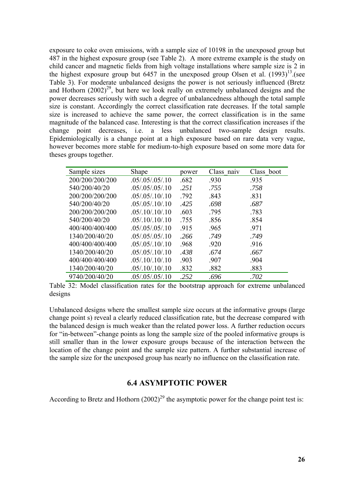exposure to coke oven emissions, with a sample size of 10198 in the unexposed group but 487 in the highest exposure group (see Table 2). A more extreme example is the study on child cancer and magnetic fields from high voltage installations where sample size is 2 in the highest exposure group but 6457 in the unexposed group Olsen et al.  $(1993)^{13}$ . (see Table 3). For moderate unbalanced designs the power is not seriously influenced (Bretz and Hothorn  $(2002)^{29}$ , but here we look really on extremely unbalanced designs and the power decreases seriously with such a degree of unbalancedness although the total sample size is constant. Accordingly the correct classification rate decreases. If the total sample size is increased to achieve the same power, the correct classification is in the same magnitude of the balanced case. Interesting is that the correct classification increases if the change point decreases, i.e. a less unbalanced two-sample design results. Epidemiologically is a change point at a high exposure based on rare data very vague, however becomes more stable for medium-to-high exposure based on some more data for theses groups together.

| Sample sizes    | Shape              | power | Class naiv | Class boot |
|-----------------|--------------------|-------|------------|------------|
| 200/200/200/200 | .05/0.05/0.05/10   | .682  | .930       | .935       |
| 540/200/40/20   | .05/0.05/0.05/10   | .251  | .755       | .758       |
| 200/200/200/200 | .05/0.05/0.10/0.10 | .792  | .843       | .831       |
| 540/200/40/20   | .05/0.05/0.10/0.10 | .425  | .698       | .687       |
| 200/200/200/200 | .05/0.10/0.10      | .603  | .795       | .783       |
| 540/200/40/20   | .05/0.10/0.10      | .755  | .856       | .854       |
| 400/400/400/400 | .05/0.05/0.05/10   | .915  | .965       | .971       |
| 1340/200/40/20  | .05/0.05/0.05/10   | .266  | .749       | .749       |
| 400/400/400/400 | .05/0.05/0.10/0.10 | .968  | .920       | .916       |
| 1340/200/40/20  | .05/0.05/0.10/0.10 | .438  | .674       | .667       |
| 400/400/400/400 | .05/0.10/0.10      | .903  | .907       | .904       |
| 1340/200/40/20  | .05/.10/.10/.10    | .832  | .882       | .883       |
| 9740/200/40/20  | .05/.05/.05/.10    | .252  | .696       | .702       |

Table 32: Model classification rates for the bootstrap approach for extreme unbalanced designs

Unbalanced designs where the smallest sample size occurs at the informative groups (large change point s) reveal a clearly reduced classification rate, but the decrease compared with the balanced design is much weaker than the related power loss. A further reduction occurs for "in-between"-change points as long the sample size of the pooled informative groups is still smaller than in the lower exposure groups because of the interaction between the location of the change point and the sample size pattern. A further substantial increase of the sample size for the unexposed group has nearly no influence on the classification rate.

## **6.4 ASYMPTOTIC POWER**

According to Bretz and Hothorn  $(2002)^{29}$  the asymptotic power for the change point test is: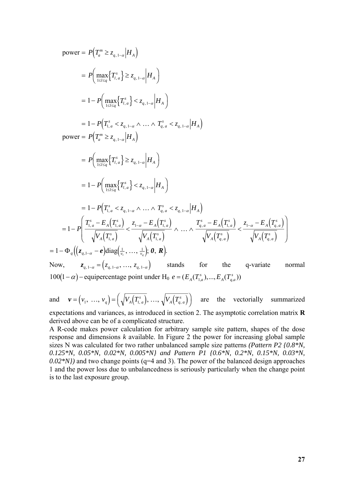power = 
$$
P(T_a^m \ge z_{q,1-a} | H_A)
$$
  
\n=  $P\left(\max_{1 \le i \le q} \{T_{i,a}^s\} \ge z_{q,1-a} | H_A \right)$   
\n=  $1 - P\left(\max_{1 \le i \le q} \{T_{i,a}^s\} < z_{q,1-a} | H_A \right)$   
\n=  $1 - P\left(T_{1,a}^s < z_{q,1-a} \land \dots \land T_{q,a}^s < z_{q,1-a} | H_A \right)$   
\npower =  $P(T_a^m \ge z_{q,1-a} | H_A)$   
\n=  $P\left(\max_{1 \le i \le q} \{T_{i,a}^s\} \ge z_{q,1-a} | H_A \right)$   
\n=  $1 - P\left(\max_{1 \le i \le q} \{T_{i,a}^s\} < z_{q,1-a} | H_A \right)$   
\n=  $1 - P\left(T_{1,a}^s < z_{q,1-a} \land \dots \land T_{q,a}^s < z_{q,1-a} | H_A \right)$   
\n=  $1 - P\left(T_{1,a}^s < z_{q,1-a} \land \dots \land T_{q,a}^s < z_{q,1-a} | H_A \right)$   
\n=  $1 - P\left(T_{1,a}^s - E_A(T_{1,a}^s) < \frac{z_{1-a} - E_A(T_{1,a}^s)}{\sqrt{V_A(T_{1,a}^s)}} \land \dots \land \frac{T_{q,a}^s - E_A(T_{1,a}^s)}{\sqrt{V_A(T_{q,a}^s)}} < \frac{z_{1-a} - E_A(T_{1,a}^s)}{\sqrt{V_A(T_{q,a}^s)}} \right)$   
\n=  $1 - \Phi_q \left( (z_{q,1-a} - e) \text{diag}(\frac{1}{y_1}, \dots, \frac{1}{y_q}); 0, R \right)$ .  
\nNow,  $z_{q,1-a} = (z_{q,1-a}, \dots, z_{q,1-a})$  stands for the q-variate normal

 $100(1-\alpha)$  – equipercentage point under H<sub>0</sub>  $e = (E_A(T_{1,a}^s),..., E_A(T_{q,a}^s))$ 

and  $\mathbf{v} = (v_1, ..., v_q) = (\sqrt{V_A(T_{1,a}^s)}, ..., \sqrt{V_A(T_{q,a}^s)})$  $A \big\{ \begin{array}{c} I \ q, a \end{array}$  $(v_1, ..., v_q) = \left(\sqrt{V_A(T_{1,a}^s)}, ..., \sqrt{V_A(T_{q,a}^s)}\right)$  are the vectorially summarized

expectations and variances, as introduced in section 2. The asymptotic correlation matrix **R** derived above can be of a complicated structure.

A R-code makes power calculation for arbitrary sample site pattern, shapes of the dose response and dimensions *k* available. In Figure 2 the power for increasing global sample sizes N was calculated for two rather unbalanced sample size patterns *(Pattern P2 {0.8\*N, 0.125\*N, 0.05\*N, 0.02\*N, 0.005\*N} and Pattern P1 {0.6\*N, 0.2\*N, 0.15\*N, 0.03\*N, 0.02\*N})* and two change points (q=4 and 3). The power of the balanced design approaches 1 and the power loss due to unbalancedness is seriously particularly when the change point is to the last exposure group.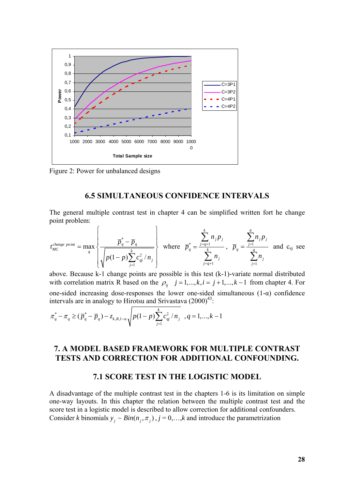

Figure 2: Power for unbalanced designs

### **6.5 SIMULTANEOUS CONFIDENCE INTERVALS**

The general multiple contrast test in chapter 4 can be simplified written fort he change point problem:

$$
t_{MC}^{change\;point} = \max_{q} \left\{ \frac{\overline{p}_q^* - \overline{p}_q}{\sqrt{p(1-p)\sum_{j=1}^k c_{qj}^2 / n_j}} \right\} \text{ where } \overline{p}_q^* = \frac{\sum_{j=q+1}^k n_j p_j}{\sum_{j=q+1}^k n_j}, \overline{p}_q = \frac{\sum_{j=1}^q n_j p_j}{\sum_{j=1}^q n_j} \text{ and } c_{sj} \text{ see}
$$

above. Because k-1 change points are possible is this test (k-1)-variate normal distributed with correlation matrix R based on the  $\rho_{ij}$   $j = 1, ..., k, i = j + 1, ..., k - 1$  from chapter 4. For one-sided increasing dose-responses the lower one-sided simultaneous  $(1-\alpha)$  confidence intervals are in analogy to Hirotsu and Srivastava  $(2000)^{43}$ :

$$
\pi_q^* - \pi_q \geq (\overline{p}_q^* - \overline{p}_q) - z_{k,R,1-\alpha} \sqrt{p(1-p)\sum_{j=1}^k c_{qj}^2/n_j}, q = 1,...,k-1
$$

# **7. A MODEL BASED FRAMEWORK FOR MULTIPLE CONTRAST TESTS AND CORRECTION FOR ADDITIONAL CONFOUNDING.**

#### **7.1 SCORE TEST IN THE LOGISTIC MODEL**

A disadvantage of the multiple contrast test in the chapters 1-6 is its limitation on simple one-way layouts. In this chapter the relation between the multiple contrast test and the score test in a logistic model is described to allow correction for additional confounders. Consider *k* binomials  $y_i \sim Bin(n_i, \pi_i)$ ,  $j = 0, \ldots, k$  and introduce the parametrization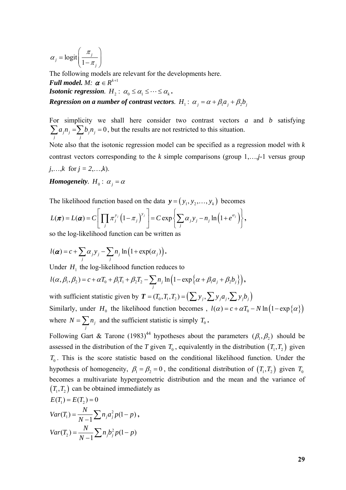$\logit \frac{\pi_j}{1-z}$ *j j* π α  $=\text{logit}\left(\frac{\pi_j}{1-\pi_j}\right)$ 

The following models are relevant for the developments here. *Full model. M:*  $\boldsymbol{\alpha} \in R^{k+1}$ *Isotonic regression.*  $H_2$ :  $\alpha_0 \leq \alpha_1 \leq \cdots \leq \alpha_k$ . *Regression on a number of contrast vectors.*  $H_1$ :  $\alpha_j = \alpha + \beta_1 a_j + \beta_2 b_j$ 

For simplicity we shall here consider two contrast vectors *a* and *b* satisfying  $_{j}n_{j}=\sum b_{j}n_{j}=0$  $\sum_j a_j n_j = \sum_j b_j n_j = 0$ , but the results are not restricted to this situation.

Note also that the isotonic regression model can be specified as a regression model with *k* contrast vectors corresponding to the *k* simple comparisons (group 1,…,*j-*1 versus group *j*,…,*k* for  $j = 2,...,k$ .

*Homogeneity.*  $H_0$  :  $\alpha_i = \alpha$ 

The likelihood function based on the data  $\mathbf{y} = ( y_1, y_2, \dots, y_k )$  becomes

$$
L(\boldsymbol{\pi}) = L(\boldsymbol{\alpha}) = C \left[ \prod_j \pi_j^{y_j} \left(1 - \pi_j\right)^{y_j} \right] = C \exp \left\{ \sum_j \alpha_j y_j - n_j \ln \left(1 + e^{\alpha_j} \right) \right\},
$$

so the log-likelihood function can be written as

$$
l(\boldsymbol{\alpha})=c+\sum_j \alpha_j y_j-\sum_j n_j \ln(1+\exp(\alpha_j)).
$$

Under  $H_1$  the log-likelihood function reduces to

$$
l(\alpha, \beta_1, \beta_2) = c + \alpha T_0 + \beta_1 T_1 + \beta_2 T_2 - \sum_j n_j \ln \left(1 - \exp \left\{\alpha + \beta_1 a_j + \beta_2 b_j \right\}\right),
$$

with sufficient statistic given by  $T = (T_0, T_1, T_2) = (\sum y_i, \sum y_i a_i, \sum y_i b_i)$ Similarly, under  $H_0$  the likelihood function becomes ,  $l(\alpha) = c + \alpha T_0 - N \ln(1 - \exp{\alpha})$ where  $N = \sum n_j$  $N = \sum_{j} n_{j}$  and the sufficient statistic is simply  $T_0$ .

Following Gart & Tarone (1983)<sup>44</sup> hypotheses about the parameters  $(\beta_1, \beta_2)$  should be assessed in the distribution of the *T* given  $T_0$ , equivalently in the distribution  $(T_1, T_2)$  given  $T<sub>0</sub>$ . This is the score statistic based on the conditional likelihood function. Under the hypothesis of homogeneity,  $\beta_1 = \beta_2 = 0$ , the conditional distribution of  $(T_1, T_2)$  given  $T_0$ becomes a multivariate hypergeometric distribution and the mean and the variance of  $(T_1, T_2)$  can be obtained immediately as

$$
E(T_1) = E(T_2) = 0
$$
  
\n
$$
Var(T_1) = \frac{N}{N-1} \sum n_j a_j^2 p(1-p),
$$
  
\n
$$
Var(T_2) = \frac{N}{N-1} \sum n_j b_j^2 p(1-p)
$$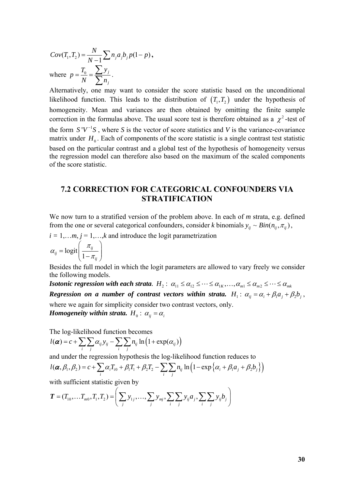$Cov(T_1, T_2) = \frac{N}{N-1} \sum n_j a_j b_j p(1-p)$ , where  $p = \frac{I_0}{I} = \frac{\sum y_j}{I}$ *j*  $p = \frac{T_0}{N} = \frac{\sum y_j}{\sum n_j}$ .

Alternatively, one may want to consider the score statistic based on the unconditional likelihood function. This leads to the distribution of  $(T_1, T_2)$  under the hypothesis of homogeneity. Mean and variances are then obtained by omitting the finite sample correction in the formulas above. The usual score test is therefore obtained as a  $\chi^2$ -test of the form  $S'V^{-1}S$ , where *S* is the vector of score statistics and *V* is the variance-covariance matrix under  $H_0$ . Each of components of the score statistic is a single contrast test statistic based on the particular contrast and a global test of the hypothesis of homogeneity versus the regression model can therefore also based on the maximum of the scaled components of the score statistic.

## **7.2 CORRECTION FOR CATEGORICAL CONFOUNDERS VIA STRATIFICATION**

We now turn to a stratified version of the problem above. In each of *m* strata, e.g. defined from the one or several categorical confounders, consider *k* binomials  $y_{ij} \sim Bin(n_{ij}, \pi_{ij})$ ,

 $i = 1,...m$ ,  $j = 1,...,k$  and introduce the logit parametrization

$$
\alpha_{ij} = \text{logit}\left(\frac{\pi_{ij}}{1 - \pi_{ij}}\right)
$$

Besides the full model in which the logit parameters are allowed to vary freely we consider the following models.

*Isotonic regression with each strata.*  $H_2$ :  $\alpha_{11} \leq \alpha_{12} \leq \cdots \leq \alpha_{1K}$ , ...,  $\alpha_{m1} \leq \alpha_{m2} \leq \cdots \leq \alpha_{mk}$ *Regression on a number of contrast vectors within strata.*  $H_1: \alpha_{ii} = \alpha_i + \beta_i a_i + \beta_j b_i$ , where we again for simplicity consider two contrast vectors, only. *Homogeneity within strata.*  $H_0$ :  $\alpha_{ij} = \alpha_i$ 

The log-likelihood function becomes

$$
l(\boldsymbol{\alpha}) = c + \sum_{i} \sum_{j} \alpha_{ij} y_{ij} - \sum_{i} \sum_{j} n_{ij} \ln (1 + \exp(\alpha_{ij}))
$$

and under the regression hypothesis the log-likelihood function reduces to

$$
l(\boldsymbol{\alpha},\beta_1,\beta_2)=c+\sum_i\alpha_iT_{i0}+\beta_1T_1+\beta_2T_2-\sum_i\sum_jn_{ij}\ln\left(1-\exp\left\{\alpha_i+\beta_1a_j+\beta_2b_j\right\}\right)
$$

with sufficient statistic given by

$$
\boldsymbol{T} = (T_{10}, \ldots, T_{m0}, T_1, T_2) = \left( \sum_j y_{1j}, \ldots, \sum_j y_{mj}, \sum_i \sum_j y_{ij} a_j, \sum_i \sum_j y_{ij} b_j \right)
$$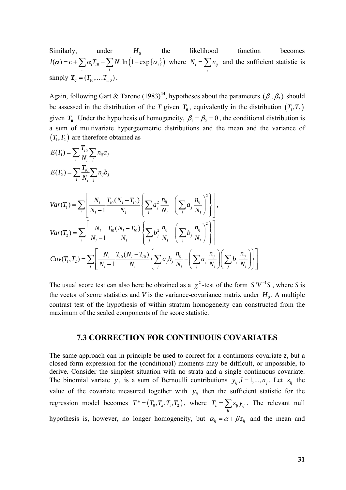Similarly, under  $H_0$  the likelihood function becomes  $\mathbf{a}(\boldsymbol{\alpha})$  =  $c + \sum \alpha_i T_{i0} - \sum N_i \ln \left( 1 - \exp \{ \alpha_i \} \right)$  $l(\boldsymbol{\alpha}) = c + \sum_i \alpha_i T_{i0} - \sum_i N_i \ln(1 - \exp\{\alpha_i\})$  where  $N_i = \sum_j n_{ij}$  and the sufficient statistic is simply  $T_0 = (T_{10}, \dots T_{m0})$ .

Again, following Gart & Tarone (1983)<sup>44</sup>, hypotheses about the parameters  $(\beta_1, \beta_2)$  should be assessed in the distribution of the *T* given  $T_0$ , equivalently in the distribution  $(T_1, T_2)$ given  $T_0$ . Under the hypothesis of homogeneity,  $\beta_1 = \beta_2 = 0$ , the conditional distribution is a sum of multivariate hypergeometric distributions and the mean and the variance of  $(T_1, T_2)$  are therefore obtained as

$$
E(T_{1}) = \sum_{i} \frac{T_{i0}}{N_{i}} \sum_{j} n_{ij} a_{j}
$$
  
\n
$$
E(T_{2}) = \sum_{i} \frac{T_{i0}}{N_{i}} \sum_{j} n_{ij} b_{j}
$$
  
\n
$$
Var(T_{1}) = \sum_{i} \left[ \frac{N_{i}}{N_{i} - 1} \frac{T_{i0}(N_{i} - T_{i0})}{N_{i}} \left\{ \sum_{j} a_{j}^{2} \frac{n_{ij}}{N_{i}} - \left( \sum_{j} a_{j} \frac{n_{ij}}{N_{i}} \right)^{2} \right\} \right],
$$
  
\n
$$
Var(T_{2}) = \sum_{i} \left[ \frac{N_{i}}{N_{i} - 1} \frac{T_{i0}(N_{i} - T_{i0})}{N_{i}} \left\{ \sum_{j} b_{j}^{2} \frac{n_{ij}}{N_{i}} - \left( \sum_{j} b_{j} \frac{n_{ij}}{N_{i}} \right)^{2} \right\} \right]
$$
  
\n
$$
Cov(T_{1}, T_{2}) = \sum_{i} \left[ \frac{N_{i}}{N_{i} - 1} \frac{T_{i0}(N_{i} - T_{i0})}{N_{i}} \left\{ \sum_{j} a_{j} b_{j} \frac{n_{ij}}{N_{i}} - \left( \sum_{j} a_{j} \frac{n_{ij}}{N_{i}} \right) \left( \sum_{j} b_{j} \frac{n_{ij}}{N_{i}} \right) \right\} \right]
$$

The usual score test can also here be obtained as a  $\chi^2$ -test of the form  $S'V^{-1}S$ , where *S* is the vector of score statistics and *V* is the variance-covariance matrix under  $H_0$ . A multiple contrast test of the hypothesis of within stratum homogeneity can constructed from the maximum of the scaled components of the score statistic.

#### **7.3 CORRECTION FOR CONTINUOUS COVARIATES**

The same approach can in principle be used to correct for a continuous covariate *z*, but a closed form expression for the (conditional) moments may be difficult, or impossible, to derive. Consider the simplest situation with no strata and a single continuous covariate. The binomial variate  $y_i$  is a sum of Bernoulli contributions  $y_{ij}$ ,  $l = 1,..., n_i$ . Let  $z_{ij}$  the value of the covariate measured together with  $y_{ij}$  then the sufficient statistic for the regression model becomes  $T^* = (T_0, T_z, T_1, T_2)$ , where  $T_z = \sum z_{ij} y_{ij}$  $T_z = \sum_{ij} z_{ij} y_{ij}$ . The relevant null hypothesis is, however, no longer homogeneity, but  $\alpha_{ij} = \alpha + \beta z_{ij}$  and the mean and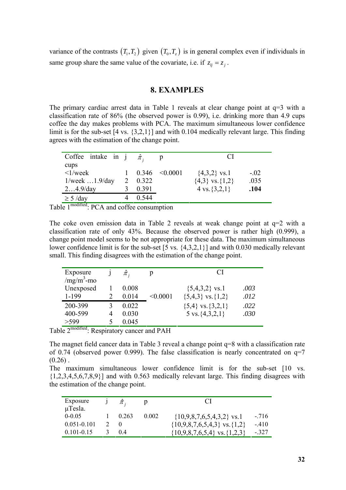variance of the contrasts  $(T_1, T_2)$  given  $(T_0, T_1)$  is in general complex even if individuals in same group share the same value of the covariate, i.e. if  $z_i = z_j$ .

### **8. EXAMPLES**

The primary cardiac arrest data in Table 1 reveals at clear change point at  $q=3$  with a classification rate of 86% (the observed power is 0.99), i.e. drinking more than 4.9 cups coffee the day makes problems with PCA. The maximum simultaneous lower confidence limit is for the sub-set [4 vs. {3,2,1}] and with 0.104 medically relevant large. This finding agrees with the estimation of the change point.

| Coffee intake in j $\hat{\pi}$ .     |        |       |          | $\mathcal{C}^{\mathcal{A}}$ |        |
|--------------------------------------|--------|-------|----------|-----------------------------|--------|
| cups<br>$\langle 1/week$             |        | 0.346 | < 0.0001 | $\{4,3,2\}$ vs.1            | $-.02$ |
| $1$ /week $1.9$ /day                 |        | 0.322 |          | ${4,3}$ vs. {1,2}           | .035   |
| $24.9$ /day                          |        | 0.391 |          | 4 vs. $\{3,2,1\}$           | .104   |
| $\geq$ 5 /day                        |        | 0.544 |          |                             |        |
| $\frac{1}{2}$ modified $\frac{1}{2}$ | $\sim$ |       |          |                             |        |

Table 1<sup>modified</sup>: PCA and coffee consumption

The coke oven emission data in Table 2 reveals at weak change point at  $q=2$  with a classification rate of only 43%. Because the observed power is rather high (0.999), a change point model seems to be not appropriate for these data. The maximum simultaneous lower confidence limit is for the sub-set [5 vs.  $\{4,3,2,1\}$ ] and with 0.030 medically relevant small. This finding disagrees with the estimation of the change point.

| Unexposed<br>0.008<br>$\{5,4,3,2\}$ vs.1<br>.003<br>1-199<br>$\{5,4,3\}$ vs. $\{1,2\}$<br>.012<br>< 0.0001<br>0.014<br>200-399<br>${5,4}$ vs. ${3,2,1}$<br>0.022<br>.022<br>400-599<br>5 vs. $\{4,3,2,1\}$<br>0.030<br>.030<br>4<br>>599<br>0.045 | Exposure<br>$/mg/m3$ -mo | $\hat{\pi}_i$ | CI |  |
|---------------------------------------------------------------------------------------------------------------------------------------------------------------------------------------------------------------------------------------------------|--------------------------|---------------|----|--|
|                                                                                                                                                                                                                                                   |                          |               |    |  |
|                                                                                                                                                                                                                                                   |                          |               |    |  |

Table 2modified: Respiratory cancer and PAH

The magnet field cancer data in Table 3 reveal a change point q=8 with a classification rate of 0.74 (observed power 0.999). The false classification is nearly concentrated on q=7  $(0.26)$ .

The maximum simultaneous lower confidence limit is for the sub-set [10 vs.  $\{1,2,3,4,5,6,7,8,9\}$ ] and with 0.563 medically relevant large. This finding disagrees with the estimation of the change point.

| Exposure<br>$\mu$ Tesla. | $\pi$ .         |       | $\mathbf{C}$                         |         |
|--------------------------|-----------------|-------|--------------------------------------|---------|
| $0 - 0.05$               | $1 \quad 0.263$ | 0.002 | $\{10,9,8,7,6,5,4,3,2\}$ vs.1        | $-716$  |
| $0.051 - 0.101$          |                 |       | $\{10,9,8,7,6,5,4,3\}$ vs. $\{1,2\}$ | $-410$  |
| $0.101 - 0.15$           | (14)            |       | $\{10,9,8,7,6,5,4\}$ vs. $\{1,2,3\}$ | $-.327$ |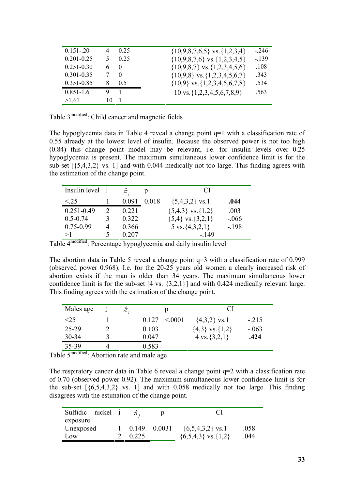| $0.151 - 20$   | 4  | 0.25           | $\{10,9,8,7,6,5\}$ vs. $\{1,2,3,4\}$    | $-246$  |
|----------------|----|----------------|-----------------------------------------|---------|
| $0.201 - 0.25$ | 5  | 0.25           | $\{10,9,8,7,6\}$ vs. $\{1,2,3,4,5\}$    | $-.139$ |
| $0.251 - 0.30$ | 6  | $\theta$       | $\{10,9,8,7\}$ vs. $\{1,2,3,4,5,6\}$    | .108    |
| $0.301 - 0.35$ |    | $\theta$       | $\{10,9,8\}$ vs. $\{1,2,3,4,5,6,7\}$    | .343    |
| $0.351 - 0.85$ | 8  | 05             | $\{10,9\}$ vs. $\{1,2,3,4,5,6,7,8\}$    | .534    |
| $0.851 - 1.6$  | 9  | $\blacksquare$ | $10 \text{ vs. } \{1,2,3,4,5,6,7,8,9\}$ | .563    |
| >1.61          | 10 |                |                                         |         |

Table 3<sup>modified</sup>: Child cancer and magnetic fields

The hypoglycemia data in Table 4 reveal a change point  $q=1$  with a classification rate of 0.55 already at the lowest level of insulin. Because the observed power is not too high (0.84) this change point model may be relevant, i.e. for insulin levels over 0.25 hypoglycemia is present. The maximum simultaneous lower confidence limit is for the sub-set  $[\{5,4,3,2\} \text{ vs. } 1]$  and with 0.044 medically not too large. This finding agrees with the estimation of the change point.

| Insulin level j |         |       | C.                        |         |
|-----------------|---------|-------|---------------------------|---------|
| < 25            | 0.091   | 0.018 | $\{5,4,3,2\}$ vs.1        | .044    |
| $0.251 - 0.49$  | 0 2 2 1 |       | $\{5,4,3\}$ vs. $\{1,2\}$ | .003    |
| $0.5 - 0.74$    | 0.322   |       | $\{5,4\}$ vs. $\{3,2,1\}$ | $-.066$ |
| $0.75 - 0.99$   | 0.366   |       | 5 vs. $\{4,3,2,1\}$       | $-.198$ |
| >1              | 0.207   |       | - 149                     |         |

Table 4modified: Percentage hypoglycemia and daily insulin level

The abortion data in Table 5 reveal a change point q=3 with a classification rate of 0.999 (observed power 0.968). I.e. for the 20-25 years old women a clearly increased risk of abortion exists if the man is older than 34 years. The maximum simultaneous lower confidence limit is for the sub-set [4 vs. {3,2,1}] and with 0.424 medically relevant large. This finding agrees with the estimation of the change point.

| Males age |   | $\pi$ . |       |        | CI                      |         |
|-----------|---|---------|-------|--------|-------------------------|---------|
| $<$ 25    |   |         | 0.127 | < 0001 | $\{4,3,2\}$ vs.1        | $-.215$ |
| 25-29     |   |         | 0.103 |        | $\{4,3\}$ vs. $\{1,2\}$ | $-.063$ |
| $30 - 34$ |   |         | 0.047 |        | 4 vs. $\{3,2,1\}$       | .424    |
| 35-39     | 4 |         | 0.583 |        |                         |         |

Table 5<sup>modified</sup>: Abortion rate and male age

The respiratory cancer data in Table 6 reveal a change point q=2 with a classification rate of 0.70 (observed power 0.92). The maximum simultaneous lower confidence limit is for the sub-set  $[\{6,5,4,3,2\}$  vs. 1] and with 0.058 medically not too large. This finding disagrees with the estimation of the change point.

| Sulfidic nickel |       |        |                             |      |
|-----------------|-------|--------|-----------------------------|------|
| exposure        |       |        |                             |      |
| Unexposed       | 0.149 | 0.0031 | $\{6,5,4,3,2\}$ vs.1        | .058 |
| Low             | 0.225 |        | $\{6,5,4,3\}$ vs. $\{1,2\}$ | 044  |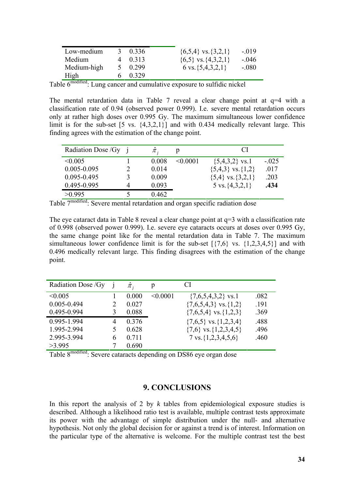| Low-medium  |   | 0.336 | $\{6,5,4\}$ vs. $\{3,2,1\}$ | $-019$  |
|-------------|---|-------|-----------------------------|---------|
| Medium      | 4 | 0.313 | $\{6,5\}$ vs. $\{4,3,2,1\}$ | $-.046$ |
| Medium-high |   | 0.299 | 6 vs. $\{5,4,3,2,1\}$       | $-.080$ |
| High        |   | 0.329 |                             |         |

Table 6<sup>modified</sup>: Lung cancer and cumulative exposure to sulfidic nickel

The mental retardation data in Table 7 reveal a clear change point at  $q=4$  with a classification rate of 0.94 (observed power 0.999). I.e. severe mental retardation occurs only at rather high doses over 0.995 Gy. The maximum simultaneous lower confidence limit is for the sub-set [5 vs. {4,3,2,1}] and with 0.434 medically relevant large. This finding agrees with the estimation of the change point.

| Radiation Dose / Gy | $\hat{\pi}$ , | р             | CI                        |         |
|---------------------|---------------|---------------|---------------------------|---------|
| $\leq 0.005$        | 0.008         | $\leq 0.0001$ | $\{5,4,3,2\}$ vs.1        | $-.025$ |
| $0.005 - 0.095$     | 0.014         |               | $\{5,4,3\}$ vs. $\{1,2\}$ | .017    |
| 0.095-0.495         | 0.009         |               | ${5,4}$ vs. ${3,2,1}$     | .203    |
| 0.495-0.995         | 0.093         |               | 5 vs. $\{4,3,2,1\}$       | .434    |
| >0.995              | 0.462         |               |                           |         |
| $-modified$         |               |               |                           |         |

Table 7<sup>modified</sup>: Severe mental retardation and organ specific radiation dose

The eye cataract data in Table 8 reveal a clear change point at  $q=3$  with a classification rate of 0.998 (observed power 0.999). I.e. severe eye cataracts occurs at doses over 0.995 Gy, the same change point like for the mental retardation data in Table 7. The maximum simultaneous lower confidence limit is for the sub-set  $[{7,6}$  vs.  ${1,2,3,4,5}$ ] and with 0.496 medically relevant large. This finding disagrees with the estimation of the change point.

| Radiation Dose / Gy |   | $\hat{\pi}$ , |          | СI                            |      |
|---------------------|---|---------------|----------|-------------------------------|------|
| < 0.005             |   | 0.000         | < 0.0001 | $\{7,6,5,4,3,2\}$ vs.1        | .082 |
| $0.005 - 0.494$     |   | 0.027         |          | $\{7,6,5,4,3\}$ vs. $\{1,2\}$ | .191 |
| 0.495-0.994         | 3 | 0.088         |          | $\{7,6,5,4\}$ vs. $\{1,2,3\}$ | .369 |
| 0.995-1.994         | 4 | 0.376         |          | $\{7,6,5\}$ vs. $\{1,2,3,4\}$ | .488 |
| 1.995-2.994         |   | 0.628         |          | $\{7,6\}$ vs. $\{1,2,3,4,5\}$ | .496 |
| 2.995-3.994         | 6 | 0.711         |          | 7 vs. $\{1, 2, 3, 4, 5, 6\}$  | .460 |
| >3.995              |   | 0.690         |          |                               |      |

Table 8modified: Severe cataracts depending on DS86 eye organ dose

### **9. CONCLUSIONS**

In this report the analysis of 2 by *k* tables from epidemiological exposure studies is described. Although a likelihood ratio test is available, multiple contrast tests approximate its power with the advantage of simple distribution under the null- and alternative hypothesis. Not only the global decision for or against a trend is of interest. Information on the particular type of the alternative is welcome. For the multiple contrast test the best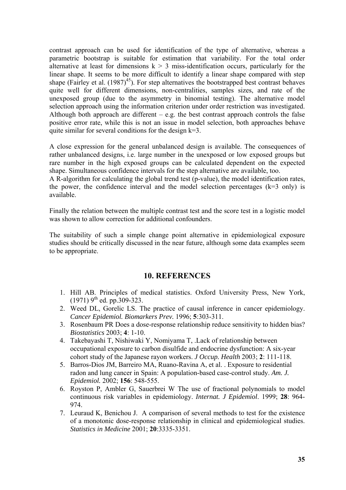contrast approach can be used for identification of the type of alternative, whereas a parametric bootstrap is suitable for estimation that variability. For the total order alternative at least for dimensions  $k > 3$  miss-identification occurs, particularly for the linear shape. It seems to be more difficult to identify a linear shape compared with step shape (Fairley et al.  $(1987)^{45}$ ). For step alternatives the bootstrapped best contrast behaves quite well for different dimensions, non-centralities, samples sizes, and rate of the unexposed group (due to the asymmetry in binomial testing). The alternative model selection approach using the information criterion under order restriction was investigated. Although both approach are different  $-$  e.g. the best contrast approach controls the false positive error rate, while this is not an issue in model selection, both approaches behave quite similar for several conditions for the design k=3.

A close expression for the general unbalanced design is available. The consequences of rather unbalanced designs, i.e. large number in the unexposed or low exposed groups but rare number in the high exposed groups can be calculated dependent on the expected shape. Simultaneous confidence intervals for the step alternative are available, too.

A R-algorithm for calculating the global trend test (p-value), the model identification rates, the power, the confidence interval and the model selection percentages  $(k=3 \text{ only})$  is available.

Finally the relation between the multiple contrast test and the score test in a logistic model was shown to allow correction for additional confounders.

The suitability of such a simple change point alternative in epidemiological exposure studies should be critically discussed in the near future, although some data examples seem to be appropriate.

#### **10. REFERENCES**

- 1. Hill AB. Principles of medical statistics. Oxford University Press, New York,  $(1971)$  9<sup>th</sup> ed. pp. 309-323.
- 2. Weed DL, Gorelic LS. The practice of causal inference in cancer epidemiology. *Cancer Epidemiol. Biomarkers Prev.* 1996; **5**:303-311.
- 3. Rosenbaum PR Does a dose-response relationship reduce sensitivity to hidden bias? *Biostatistics* 2003; **4**: 1-10.
- 4. Takebayashi T, Nishiwaki Y, Nomiyama T, .[Lack of relationship between](http://wos3.newisiknowledge.com/CIW.cgi?SID=P1bYrQrg-GgAAGQcHLc&Func=Abstract&doc=2/8)  [occupational exposure to carbon disulfide and endocrine dysfunction: A six-year](http://wos3.newisiknowledge.com/CIW.cgi?SID=P1bYrQrg-GgAAGQcHLc&Func=Abstract&doc=2/8)  [cohort study of the Japanese rayon workers.](http://wos3.newisiknowledge.com/CIW.cgi?SID=P1bYrQrg-GgAAGQcHLc&Func=Abstract&doc=2/8) *J Occup. Health* 2003; **2**: 111-118.
- 5. Barros-Dios JM, Barreiro MA, Ruano-Ravina A, et al. . [Exposure to residential](http://wos3.newisiknowledge.com/CIW.cgi?SID=P1bYrQrg-GgAAGQcHLc&Func=Abstract&doc=1/20)  [radon and lung cancer in Spain: A population-based case-control study](http://wos3.newisiknowledge.com/CIW.cgi?SID=P1bYrQrg-GgAAGQcHLc&Func=Abstract&doc=1/20). *Am. J. Epidemiol.* 2002; **156**: 548-555.
- 6. Royston P, Ambler G, Sauerbrei W [The use of fractional polynomials to model](http://wos3.isiknowledge.com/CIW.cgi?PvK2Lwrg-0_16E2F299_PvK2Lwrg-GgAACHZUu4-0&Func=Abstract&doc=4/8)  [continuous risk variables in epidemiology](http://wos3.isiknowledge.com/CIW.cgi?PvK2Lwrg-0_16E2F299_PvK2Lwrg-GgAACHZUu4-0&Func=Abstract&doc=4/8). *Internat. J Epidemiol*. 1999; **28**: 964- 974.
- 7. Leuraud K, Benichou J. A comparison of several methods to test for the existence of a monotonic dose-response relationship in clinical and epidemiological studies. *Statistics in Medicine* 2001; **20**:3335-3351.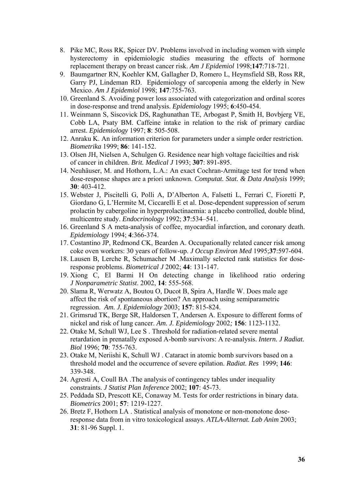- 8. Pike MC, Ross RK, Spicer DV. Problems involved in including women with simple hysterectomy in epidemiologic studies measuring the effects of hormone replacement therapy on breast cancer risk. *Am J Epidemiol* 1998;**147**:718-721.
- 9. Baumgartner RN, Koehler KM, Gallagher D, Romero L, Heymsfield SB, Ross RR, Garry PJ, Lindeman RD. Epidemiology of sarcopenia among the elderly in New Mexico. *Am J Epidemiol* 1998; **147**:755-763.
- 10. Greenland S. Avoiding power loss associated with categorization and ordinal scores in dose-response and trend analysis. *Epidemiology* 1995; **6**:450-454.
- 11. Weinmann S, Siscovick DS, Raghunathan TE, Arbogast P, Smith H, Bovbjerg VE, Cobb LA, Psaty BM. Caffeine intake in relation to the risk of primary cardiac arrest. *Epidemiology* 1997; **8**: 505-508.
- 12. Anraku K. [An information criterion for parameters under a simple order restriction.](http://wos3.newisiknowledge.com/CIW.cgi?SID=P1bYrQrg-GgAAGQcHLc&Func=Abstract&doc=3/30) *Biometrika* 1999; **86**: 141-152.
- 13. Olsen JH, Nielsen A, Schulgen G. Residence near high voltage facicilties and risk of cancer in children. *Brit. Medical J* 1993; **307**: 891-895.
- 14. Neuhäuser, M. and Hothorn, L.A.: An exact Cochran-Armitage test for trend when dose-response shapes are a priori unknown. *Computat. Stat. & Data Analysis* 1999; **30**: 403-412.
- 15. Webster J, Piscitelli G, Polli A, D'Alberton A, Falsetti L, Ferrari C, Fioretti P, Giordano G, L'Hermite M, Ciccarelli E et al. Dose-dependent suppression of serum prolactin by cabergoline in hyperprolactinaemia: a placebo controlled, double blind, multicentre study. *Endocrinology* 1992; **37**:534–541.
- 16. Greenland S A meta-analysis of coffee, myocardial infarction, and coronary death. *Epidemiology* 1994; **4**:366-374.
- 17. Costantino JP, Redmond CK, Bearden A. Occupationally related cancer risk among coke oven workers: 30 years of follow-up. *J Occup Environ Med* 1995;**37**:597-604.
- 18. Lausen B, Lerche R, Schumacher M .[Maximally selected rank statistics for dose](http://wos3.isiknowledge.com/CIW.cgi?Pvg86wrg-0_6F4EB1D7_Pvg86wrg-GgAACEXFOo-0&Func=Abstract&doc=2/7)[response problems.](http://wos3.isiknowledge.com/CIW.cgi?Pvg86wrg-0_6F4EB1D7_Pvg86wrg-GgAACEXFOo-0&Func=Abstract&doc=2/7) *Biometrical J* 2002; **44**: 131-147.
- 19. Xiong C, El Barmi H [On detecting change in likelihood ratio ordering](http://wos3.isiknowledge.com/CIW.cgi?PvlBRArg-0_7F9440D0_PvlBRArg-GgAACAQ4m8-0&Func=Abstract&doc=6/1)  *J Nonparametric Statist*. 2002, **14**: 555-568.
- 20. Slama R, Werwatz A, Boutou O, Ducot B, Spira A, Hardle W. Does male age affect the risk of spontaneous abortion? An approach using semiparametric regression. *Am. J. Epidemiology* 2003; **157**: 815-824.
- 21. Grimsrud TK, Berge SR, Haldorsen T, Andersen A. Exposure to different forms of nickel and risk of lung cancer. *Am. J. Epidemiology* 2002*;* **156**: 1123-1132.
- 22. Otake M, Schull WJ, Lee S . [Threshold for radiation-related severe mental](http://wos3.newisiknowledge.com/CIW.cgi?SID=P0sNzArg-GgAABRLhaQ&Func=Abstract&doc=25/4)  [retardation in prenatally exposed A-bomb survivors: A re-analysis](http://wos3.newisiknowledge.com/CIW.cgi?SID=P0sNzArg-GgAABRLhaQ&Func=Abstract&doc=25/4). *Intern. J Radiat. Biol* 1996; **70**: 755-763.
- 23. Otake M, Neriishi K, Schull WJ . [Cataract in atomic bomb survivors based on a](http://wos3.newisiknowledge.com/CIW.cgi?SID=P0sNzArg-GgAABRLhaQ&Func=Abstract&doc=25/5)  [threshold model and the occurrence of severe epilation.](http://wos3.newisiknowledge.com/CIW.cgi?SID=P0sNzArg-GgAABRLhaQ&Func=Abstract&doc=25/5) *Radiat. Res* 1999; **146**: 339-348.
- 24. Agresti A, Coull BA [.The analysis of contingency tables under inequality](http://wos3.newisiknowledge.com/CIW.cgi?SID=P1bYrQrg-GgAAGQcHLc&Func=Abstract&doc=10/10)  [constraints.](http://wos3.newisiknowledge.com/CIW.cgi?SID=P1bYrQrg-GgAAGQcHLc&Func=Abstract&doc=10/10) *J Statist Plan Inference* 2002; **107**: 45-73.
- 25. Peddada SD, Prescott KE, Conaway M. [Tests for order restrictions in binary data.](http://wos3.newisiknowledge.com/CIW.cgi?PR=10/10&SID=P1bYrQrg-GgAAGQcHLc&Func=Abstract&doc=12/8) *Biometrics* 2001; **57**: 1219-1227.
- 26. Bretz F, Hothorn LA . [Statistical analysis of monotone or non-monotone dose](http://wos3.newisiknowledge.com/CIW.cgi?PR=10/10&SID=P1bYrQrg-GgAAGQcHLc&Func=Abstract&doc=12/3)[response data from in vitro toxicological assays.](http://wos3.newisiknowledge.com/CIW.cgi?PR=10/10&SID=P1bYrQrg-GgAAGQcHLc&Func=Abstract&doc=12/3) *ATLA-Alternat. Lab Anim* 2003; **31**: 81-96 Suppl. 1.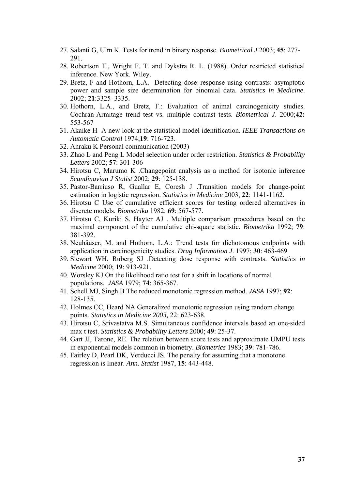- 27. Salanti G, Ulm K. [Tests for trend in binary response.](http://wos3.newisiknowledge.com/CIW.cgi?PR=10/10&SID=P1bYrQrg-GgAAGQcHLc&Func=Abstract&doc=12/7) *Biometrical J* 2003; **45**: 277- 291.
- 28. Robertson T., Wright F. T. and Dykstra R. L. (1988). Order restricted statistical inference. New York. Wiley.
- 29. Bretz, F and Hothorn, L.A. Detecting dose–response using contrasts: asymptotic power and sample size determination for binomial data. *Statistics in Medicine*. 2002; **21**:3325–3335.
- 30. Hothorn, L.A., and Bretz, F.: Evaluation of animal carcinogenicity studies. Cochran-Armitage trend test vs. multiple contrast tests. *Biometrical J*. 2000;**42:** 553-567
- 31. Akaike H A new look at the statistical model identification. *IEEE Transactions on Automatic Control* 1974;**19**: 716-723.
- 32. Anraku K Personal communication (2003)
- 33. Zhao L and Peng L Model selection under order restriction. *Statistics & Probability Letters* 2002; **57**: 301-306
- 34. Hirotsu C, Marumo K [.Changepoint analysis as a method for isotonic inference](http://wos3.isiknowledge.com/CIW.cgi?PvbI9Arg-0_580F41EB_PvbI9Arg-GgAADibNaE-0&Func=Abstract&doc=1/3)  *Scandinavian J Statist* 2002; **29**: 125-138.
- 35. Pastor-Barriuso R, Guallar E, Coresh J [.Transition models for change-point](http://wos3.isiknowledge.com/CIW.cgi?Pvg86wrg-0_6F4EB1D7_Pvg86wrg-GgAACEXFOo-0&Func=Abstract&doc=1/1)  [estimation in logistic regression](http://wos3.isiknowledge.com/CIW.cgi?Pvg86wrg-0_6F4EB1D7_Pvg86wrg-GgAACEXFOo-0&Func=Abstract&doc=1/1). *Statistics in Medicine* 2003, **22**: 1141-1162.
- 36. Hirotsu C Use of cumulative efficient scores for testing ordered alternatives in discrete models. *Biometrika* 1982; **69**: 567-577.
- 37. Hirotsu C, Kuriki S, Hayter AJ . [Multiple comparison procedures based on the](http://wos3.isiknowledge.com/CIW.cgi?PvbI9Arg-0_580F41EB_PvbI9Arg-GgAADibNaE-0&Func=Abstract&doc=2/8)  [maximal component of the cumulative chi-square statistic.](http://wos3.isiknowledge.com/CIW.cgi?PvbI9Arg-0_580F41EB_PvbI9Arg-GgAADibNaE-0&Func=Abstract&doc=2/8) *Biometrika* 1992; **79**: 381-392.
- 38. Neuhäuser, M. and Hothorn, L.A.: Trend tests for dichotomous endpoints with application in carcinogenicity studies. *Drug Information J*. 1997; **30**: 463-469
- 39. Stewart WH, Ruberg SJ [.Detecting dose response with contrasts](http://wos3.isiknowledge.com/CIW.cgi?PvlBRArg-0_7F9440D0_PvlBRArg-GgAACAQ4m8-0&Func=Abstract&doc=1/1). *Statistics in Medicine* 2000; **19**: 913-921.
- 40. Worsley KJ On the likelihood ratio test for a shift in locations of normal populations. *JASA* 1979; **74**: 365-367.
- 41. Schell MJ, Singh B [The reduced monotonic regression method](http://wos3.newisiknowledge.com/CIW.cgi?PR=2/1&SID=P0X9lgrg-GgAACjb@4s&Func=Abstract&doc=3/33)*. JASA* 1997; **92**: 128-135.
- 42. Holmes CC, Heard NA [Generalized monotonic regression using random change](http://wos3.newisiknowledge.com/CIW.cgi?PR=2/1&SID=P0X9lgrg-GgAACjb@4s&Func=Abstract&doc=3/10)  [points](http://wos3.newisiknowledge.com/CIW.cgi?PR=2/1&SID=P0X9lgrg-GgAACjb@4s&Func=Abstract&doc=3/10). *Statistics in Medicine 2003,* 22: 623-638.
- 43. Hirotsu C, Srivastatva M.S. Simultaneous confidence intervals based an one-sided max t test. *Statistics & Probability Letters* 2000; **49**: 25-37.
- 44. Gart JJ, Tarone, RE. The relation between score tests and approximate UMPU tests in exponential models common in biometry. *Biometrics* 1983; **39**: 781-786.
- 45. Fairley D, Pearl DK, Verducci JS. The penalty for assuming that a monotone regression is linear. *Ann. Statist* 1987, **15**: 443-448.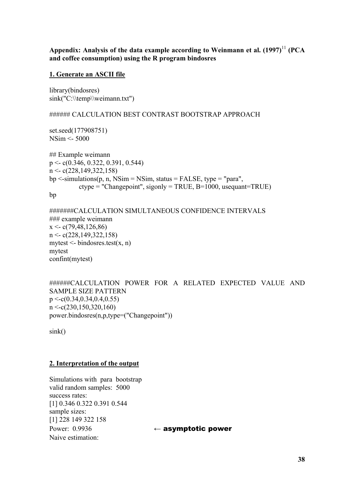Appendix: Analysis of the data example according to Weinmann et al.  $(1997)^{11}$  (PCA **and coffee consumption) using the R program bindosres** 

### **1. Generate an ASCII file**

library(bindosres) sink("C:\\temp\\weimann.txt")

#### ###### CALCULATION BEST CONTRAST BOOTSTRAP APPROACH

set.seed(177908751) NSim <- 5000

## Example weimann p <- c(0.346, 0.322, 0.391, 0.544)  $n \leq c(228.149.322.158)$  $bp \le$ -simulations(p, n, NSim = NSim, status = FALSE, type = "para", ctype = "Changepoint", sigonly = TRUE, B=1000, usequant=TRUE)

bp

```
#######CALCULATION SIMULTANEOUS CONFIDENCE INTERVALS 
### example weimann 
x \leq c(79, 48, 126, 86)n <- c(228,149,322,158) 
mytest \le- bindosres.test(x, n)mytest 
confint(mytest)
```

```
######CALCULATION POWER FOR A RELATED EXPECTED VALUE AND 
SAMPLE SIZE PATTERN 
p \leq c(0.34, 0.34, 0.4, 0.55)n \leq c(230, 150, 320, 160)power.bindosres(n,p,type=("Changepoint"))
```
sink()

### **2. Interpretation of the output**

Simulations with para bootstrap valid random samples: 5000 success rates: [1] 0.346 0.322 0.391 0.544 sample sizes: [1] 228 149 322 158 Power: 0.9936 ← asymptotic power Naive estimation: